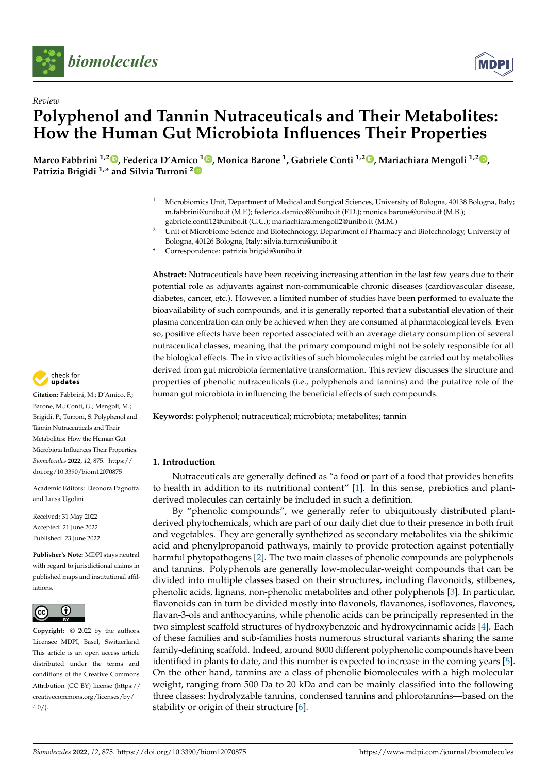

*Review*



# **Polyphenol and Tannin Nutraceuticals and Their Metabolites: How the Human Gut Microbiota Influences Their Properties**

**Marco Fabbrini 1,2 [,](https://orcid.org/0000-0003-1431-0643) Federica D'Amico <sup>1</sup> [,](https://orcid.org/0000-0002-2136-9558) Monica Barone <sup>1</sup> , Gabriele Conti 1,2 [,](https://orcid.org/0000-0002-4623-043X) Mariachiara Mengoli 1,2 [,](https://orcid.org/0000-0001-6315-0928) Patrizia Brigidi 1,\* and Silvia Turroni [2](https://orcid.org/0000-0003-2345-9482)**

- <sup>1</sup> Microbiomics Unit, Department of Medical and Surgical Sciences, University of Bologna, 40138 Bologna, Italy; m.fabbrini@unibo.it (M.F.); federica.damico8@unibo.it (F.D.); monica.barone@unibo.it (M.B.); gabriele.conti12@unibo.it (G.C.); mariachiara.mengoli2@unibo.it (M.M.)
- <sup>2</sup> Unit of Microbiome Science and Biotechnology, Department of Pharmacy and Biotechnology, University of Bologna, 40126 Bologna, Italy; silvia.turroni@unibo.it
- **\*** Correspondence: patrizia.brigidi@unibo.it

**Abstract:** Nutraceuticals have been receiving increasing attention in the last few years due to their potential role as adjuvants against non-communicable chronic diseases (cardiovascular disease, diabetes, cancer, etc.). However, a limited number of studies have been performed to evaluate the bioavailability of such compounds, and it is generally reported that a substantial elevation of their plasma concentration can only be achieved when they are consumed at pharmacological levels. Even so, positive effects have been reported associated with an average dietary consumption of several nutraceutical classes, meaning that the primary compound might not be solely responsible for all the biological effects. The in vivo activities of such biomolecules might be carried out by metabolites derived from gut microbiota fermentative transformation. This review discusses the structure and properties of phenolic nutraceuticals (i.e., polyphenols and tannins) and the putative role of the human gut microbiota in influencing the beneficial effects of such compounds.

**Keywords:** polyphenol; nutraceutical; microbiota; metabolites; tannin

# **1. Introduction**

Nutraceuticals are generally defined as "a food or part of a food that provides benefits to health in addition to its nutritional content" [\[1\]](#page-12-0). In this sense, prebiotics and plantderived molecules can certainly be included in such a definition.

By "phenolic compounds", we generally refer to ubiquitously distributed plantderived phytochemicals, which are part of our daily diet due to their presence in both fruit and vegetables. They are generally synthetized as secondary metabolites via the shikimic acid and phenylpropanoid pathways, mainly to provide protection against potentially harmful phytopathogens [\[2\]](#page-12-1). The two main classes of phenolic compounds are polyphenols and tannins. Polyphenols are generally low-molecular-weight compounds that can be divided into multiple classes based on their structures, including flavonoids, stilbenes, phenolic acids, lignans, non-phenolic metabolites and other polyphenols [\[3\]](#page-12-2). In particular, flavonoids can in turn be divided mostly into flavonols, flavanones, isoflavones, flavones, flavan-3-ols and anthocyanins, while phenolic acids can be principally represented in the two simplest scaffold structures of hydroxybenzoic and hydroxycinnamic acids [\[4\]](#page-12-3). Each of these families and sub-families hosts numerous structural variants sharing the same family-defining scaffold. Indeed, around 8000 different polyphenolic compounds have been identified in plants to date, and this number is expected to increase in the coming years [\[5\]](#page-12-4). On the other hand, tannins are a class of phenolic biomolecules with a high molecular weight, ranging from 500 Da to 20 kDa and can be mainly classified into the following three classes: hydrolyzable tannins, condensed tannins and phlorotannins—based on the stability or origin of their structure [\[6\]](#page-12-5).



**Citation:** Fabbrini, M.; D'Amico, F.; Barone, M.; Conti, G.; Mengoli, M.; Brigidi, P.; Turroni, S. Polyphenol and Tannin Nutraceuticals and Their Metabolites: How the Human Gut Microbiota Influences Their Properties. *Biomolecules* **2022**, *12*, 875. [https://](https://doi.org/10.3390/biom12070875) [doi.org/10.3390/biom12070875](https://doi.org/10.3390/biom12070875)

Academic Editors: Eleonora Pagnotta and Luisa Ugolini

Received: 31 May 2022 Accepted: 21 June 2022 Published: 23 June 2022

**Publisher's Note:** MDPI stays neutral with regard to jurisdictional claims in published maps and institutional affiliations.



**Copyright:** © 2022 by the authors. Licensee MDPI, Basel, Switzerland. This article is an open access article distributed under the terms and conditions of the Creative Commons Attribution (CC BY) license [\(https://](https://creativecommons.org/licenses/by/4.0/) [creativecommons.org/licenses/by/](https://creativecommons.org/licenses/by/4.0/)  $4.0/$ ).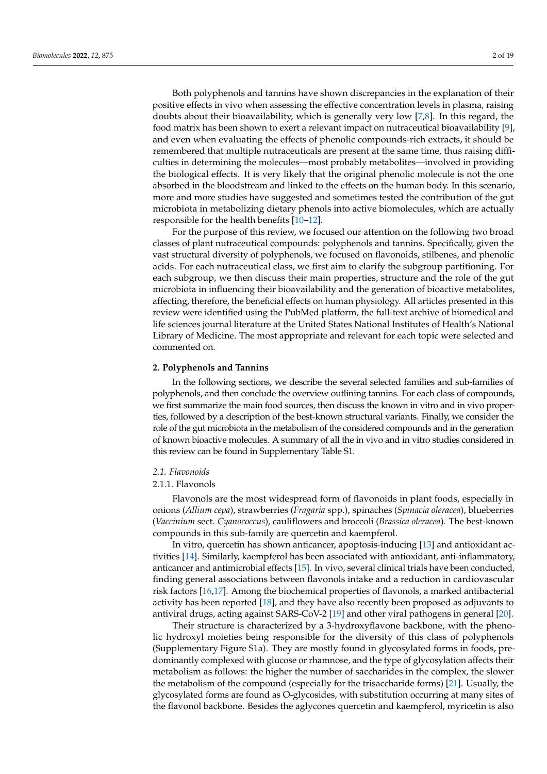Both polyphenols and tannins have shown discrepancies in the explanation of their positive effects in vivo when assessing the effective concentration levels in plasma, raising doubts about their bioavailability, which is generally very low [\[7,](#page-12-6)[8\]](#page-12-7). In this regard, the food matrix has been shown to exert a relevant impact on nutraceutical bioavailability [\[9\]](#page-12-8), and even when evaluating the effects of phenolic compounds-rich extracts, it should be remembered that multiple nutraceuticals are present at the same time, thus raising difficulties in determining the molecules—most probably metabolites—involved in providing the biological effects. It is very likely that the original phenolic molecule is not the one absorbed in the bloodstream and linked to the effects on the human body. In this scenario, more and more studies have suggested and sometimes tested the contribution of the gut microbiota in metabolizing dietary phenols into active biomolecules, which are actually responsible for the health benefits [\[10–](#page-12-9)[12\]](#page-12-10).

For the purpose of this review, we focused our attention on the following two broad classes of plant nutraceutical compounds: polyphenols and tannins. Specifically, given the vast structural diversity of polyphenols, we focused on flavonoids, stilbenes, and phenolic acids. For each nutraceutical class, we first aim to clarify the subgroup partitioning. For each subgroup, we then discuss their main properties, structure and the role of the gut microbiota in influencing their bioavailability and the generation of bioactive metabolites, affecting, therefore, the beneficial effects on human physiology. All articles presented in this review were identified using the PubMed platform, the full-text archive of biomedical and life sciences journal literature at the United States National Institutes of Health's National Library of Medicine. The most appropriate and relevant for each topic were selected and commented on.

## **2. Polyphenols and Tannins**

In the following sections, we describe the several selected families and sub-families of polyphenols, and then conclude the overview outlining tannins. For each class of compounds, we first summarize the main food sources, then discuss the known in vitro and in vivo properties, followed by a description of the best-known structural variants. Finally, we consider the role of the gut microbiota in the metabolism of the considered compounds and in the generation of known bioactive molecules. A summary of all the in vivo and in vitro studies considered in this review can be found in Supplementary Table S1.

# *2.1. Flavonoids*

## 2.1.1. Flavonols

Flavonols are the most widespread form of flavonoids in plant foods, especially in onions (*Allium cepa*), strawberries (*Fragaria* spp.), spinaches (*Spinacia oleracea*), blueberries (*Vaccinium* sect. *Cyanococcus*), cauliflowers and broccoli (*Brassica oleracea*). The best-known compounds in this sub-family are quercetin and kaempferol.

In vitro, quercetin has shown anticancer, apoptosis-inducing [\[13\]](#page-12-11) and antioxidant activities [\[14\]](#page-12-12). Similarly, kaempferol has been associated with antioxidant, anti-inflammatory, anticancer and antimicrobial effects [\[15\]](#page-12-13). In vivo, several clinical trials have been conducted, finding general associations between flavonols intake and a reduction in cardiovascular risk factors [\[16](#page-12-14)[,17\]](#page-12-15). Among the biochemical properties of flavonols, a marked antibacterial activity has been reported [\[18\]](#page-12-16), and they have also recently been proposed as adjuvants to antiviral drugs, acting against SARS-CoV-2 [\[19\]](#page-13-0) and other viral pathogens in general [\[20\]](#page-13-1).

Their structure is characterized by a 3-hydroxyflavone backbone, with the phenolic hydroxyl moieties being responsible for the diversity of this class of polyphenols (Supplementary Figure S1a). They are mostly found in glycosylated forms in foods, predominantly complexed with glucose or rhamnose, and the type of glycosylation affects their metabolism as follows: the higher the number of saccharides in the complex, the slower the metabolism of the compound (especially for the trisaccharide forms) [\[21\]](#page-13-2). Usually, the glycosylated forms are found as O-glycosides, with substitution occurring at many sites of the flavonol backbone. Besides the aglycones quercetin and kaempferol, myricetin is also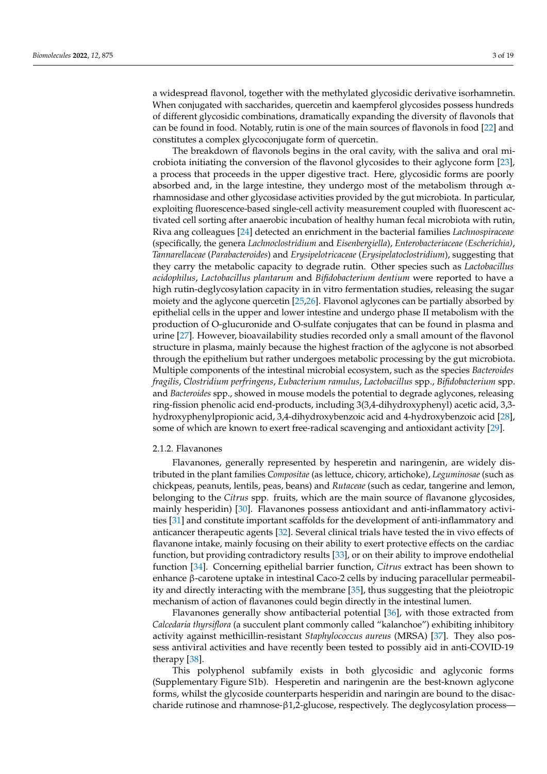a widespread flavonol, together with the methylated glycosidic derivative isorhamnetin. When conjugated with saccharides, quercetin and kaempferol glycosides possess hundreds of different glycosidic combinations, dramatically expanding the diversity of flavonols that can be found in food. Notably, rutin is one of the main sources of flavonols in food [\[22\]](#page-13-3) and constitutes a complex glycoconjugate form of quercetin.

The breakdown of flavonols begins in the oral cavity, with the saliva and oral microbiota initiating the conversion of the flavonol glycosides to their aglycone form [\[23\]](#page-13-4), a process that proceeds in the upper digestive tract. Here, glycosidic forms are poorly absorbed and, in the large intestine, they undergo most of the metabolism through  $\alpha$ rhamnosidase and other glycosidase activities provided by the gut microbiota. In particular, exploiting fluorescence-based single-cell activity measurement coupled with fluorescent activated cell sorting after anaerobic incubation of healthy human fecal microbiota with rutin, Riva ang colleagues [\[24\]](#page-13-5) detected an enrichment in the bacterial families *Lachnospiraceae* (specifically, the genera *Lachnoclostridium* and *Eisenbergiella*), *Enterobacteriaceae (Escherichia)*, *Tannarellaceae* (*Parabacteroides*) and *Erysipelotricaceae* (*Erysipelatoclostridium*), suggesting that they carry the metabolic capacity to degrade rutin. Other species such as *Lactobacillus acidophilus*, *Lactobacillus plantarum* and *Bifidobacterium dentium* were reported to have a high rutin-deglycosylation capacity in in vitro fermentation studies, releasing the sugar moiety and the aglycone quercetin [\[25,](#page-13-6)[26\]](#page-13-7). Flavonol aglycones can be partially absorbed by epithelial cells in the upper and lower intestine and undergo phase II metabolism with the production of O-glucuronide and O-sulfate conjugates that can be found in plasma and urine [\[27\]](#page-13-8). However, bioavailability studies recorded only a small amount of the flavonol structure in plasma, mainly because the highest fraction of the aglycone is not absorbed through the epithelium but rather undergoes metabolic processing by the gut microbiota. Multiple components of the intestinal microbial ecosystem, such as the species *Bacteroides fragilis*, *Clostridium perfringens*, *Eubacterium ramulus*, *Lactobacillus* spp., *Bifidobacterium* spp. and *Bacteroides* spp., showed in mouse models the potential to degrade aglycones, releasing ring-fission phenolic acid end-products, including 3(3,4-dihydroxyphenyl) acetic acid, 3,3 hydroxyphenylpropionic acid, 3,4-dihydroxybenzoic acid and 4-hydroxybenzoic acid [\[28\]](#page-13-9), some of which are known to exert free-radical scavenging and antioxidant activity [\[29\]](#page-13-10).

## 2.1.2. Flavanones

Flavanones, generally represented by hesperetin and naringenin, are widely distributed in the plant families *Compositae* (as lettuce, chicory, artichoke), *Leguminosae* (such as chickpeas, peanuts, lentils, peas, beans) and *Rutaceae* (such as cedar, tangerine and lemon, belonging to the *Citrus* spp. fruits, which are the main source of flavanone glycosides, mainly hesperidin) [\[30\]](#page-13-11). Flavanones possess antioxidant and anti-inflammatory activities [\[31\]](#page-13-12) and constitute important scaffolds for the development of anti-inflammatory and anticancer therapeutic agents [\[32\]](#page-13-13). Several clinical trials have tested the in vivo effects of flavanone intake, mainly focusing on their ability to exert protective effects on the cardiac function, but providing contradictory results [\[33\]](#page-13-14), or on their ability to improve endothelial function [\[34\]](#page-13-15). Concerning epithelial barrier function, *Citrus* extract has been shown to enhance β-carotene uptake in intestinal Caco-2 cells by inducing paracellular permeability and directly interacting with the membrane [\[35\]](#page-13-16), thus suggesting that the pleiotropic mechanism of action of flavanones could begin directly in the intestinal lumen.

Flavanones generally show antibacterial potential [\[36\]](#page-13-17), with those extracted from *Calcedaria thyrsiflora* (a succulent plant commonly called "kalanchoe") exhibiting inhibitory activity against methicillin-resistant *Staphylococcus aureus* (MRSA) [\[37\]](#page-13-18). They also possess antiviral activities and have recently been tested to possibly aid in anti-COVID-19 therapy [\[38\]](#page-13-19).

This polyphenol subfamily exists in both glycosidic and aglyconic forms (Supplementary Figure S1b). Hesperetin and naringenin are the best-known aglycone forms, whilst the glycoside counterparts hesperidin and naringin are bound to the disaccharide rutinose and rhamnose-β1,2-glucose, respectively. The deglycosylation process—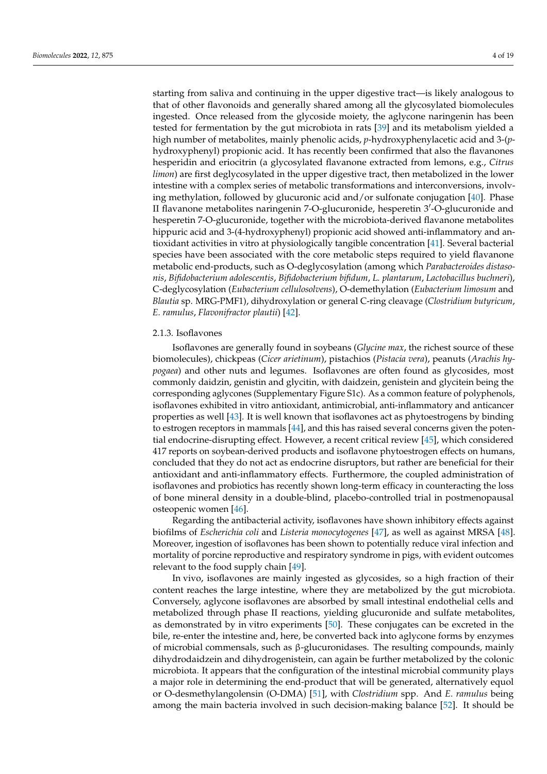starting from saliva and continuing in the upper digestive tract—is likely analogous to that of other flavonoids and generally shared among all the glycosylated biomolecules ingested. Once released from the glycoside moiety, the aglycone naringenin has been tested for fermentation by the gut microbiota in rats [\[39\]](#page-13-20) and its metabolism yielded a high number of metabolites, mainly phenolic acids, *p*-hydroxyphenylacetic acid and 3-(*p*hydroxyphenyl) propionic acid. It has recently been confirmed that also the flavanones hesperidin and eriocitrin (a glycosylated flavanone extracted from lemons, e.g., *Citrus limon*) are first deglycosylated in the upper digestive tract, then metabolized in the lower intestine with a complex series of metabolic transformations and interconversions, involving methylation, followed by glucuronic acid and/or sulfonate conjugation [\[40\]](#page-13-21). Phase II flavanone metabolites naringenin 7-O-glucuronide, hesperetin 3'-O-glucuronide and hesperetin 7-O-glucuronide, together with the microbiota-derived flavanone metabolites hippuric acid and 3-(4-hydroxyphenyl) propionic acid showed anti-inflammatory and antioxidant activities in vitro at physiologically tangible concentration [\[41\]](#page-13-22). Several bacterial species have been associated with the core metabolic steps required to yield flavanone metabolic end-products, such as O-deglycosylation (among which *Parabacteroides distasonis*, *Bifidobacterium adolescentis*, *Bifidobacterium bifidum*, *L. plantarum*, *Lactobacillus buchneri*), C-deglycosylation (*Eubacterium cellulosolvens*), O-demethylation (*Eubacterium limosum* and *Blautia* sp. MRG-PMF1), dihydroxylation or general C-ring cleavage (*Clostridium butyricum*, *E. ramulus*, *Flavonifractor plautii*) [\[42\]](#page-13-23).

## 2.1.3. Isoflavones

Isoflavones are generally found in soybeans (*Glycine max*, the richest source of these biomolecules), chickpeas (*Cicer arietinum*), pistachios (*Pistacia vera*), peanuts (*Arachis hypogaea*) and other nuts and legumes. Isoflavones are often found as glycosides, most commonly daidzin, genistin and glycitin, with daidzein, genistein and glycitein being the corresponding aglycones (Supplementary Figure S1c). As a common feature of polyphenols, isoflavones exhibited in vitro antioxidant, antimicrobial, anti-inflammatory and anticancer properties as well [\[43\]](#page-13-24). It is well known that isoflavones act as phytoestrogens by binding to estrogen receptors in mammals [\[44\]](#page-13-25), and this has raised several concerns given the potential endocrine-disrupting effect. However, a recent critical review [\[45\]](#page-14-0), which considered 417 reports on soybean-derived products and isoflavone phytoestrogen effects on humans, concluded that they do not act as endocrine disruptors, but rather are beneficial for their antioxidant and anti-inflammatory effects. Furthermore, the coupled administration of isoflavones and probiotics has recently shown long-term efficacy in counteracting the loss of bone mineral density in a double-blind, placebo-controlled trial in postmenopausal osteopenic women [\[46\]](#page-14-1).

Regarding the antibacterial activity, isoflavones have shown inhibitory effects against biofilms of *Escherichia coli* and *Listeria monocytogenes* [\[47\]](#page-14-2), as well as against MRSA [\[48\]](#page-14-3). Moreover, ingestion of isoflavones has been shown to potentially reduce viral infection and mortality of porcine reproductive and respiratory syndrome in pigs, with evident outcomes relevant to the food supply chain [\[49\]](#page-14-4).

In vivo, isoflavones are mainly ingested as glycosides, so a high fraction of their content reaches the large intestine, where they are metabolized by the gut microbiota. Conversely, aglycone isoflavones are absorbed by small intestinal endothelial cells and metabolized through phase II reactions, yielding glucuronide and sulfate metabolites, as demonstrated by in vitro experiments [\[50\]](#page-14-5). These conjugates can be excreted in the bile, re-enter the intestine and, here, be converted back into aglycone forms by enzymes of microbial commensals, such as β-glucuronidases. The resulting compounds, mainly dihydrodaidzein and dihydrogenistein, can again be further metabolized by the colonic microbiota. It appears that the configuration of the intestinal microbial community plays a major role in determining the end-product that will be generated, alternatively equol or O-desmethylangolensin (O-DMA) [\[51\]](#page-14-6), with *Clostridium* spp. And *E. ramulus* being among the main bacteria involved in such decision-making balance [\[52\]](#page-14-7). It should be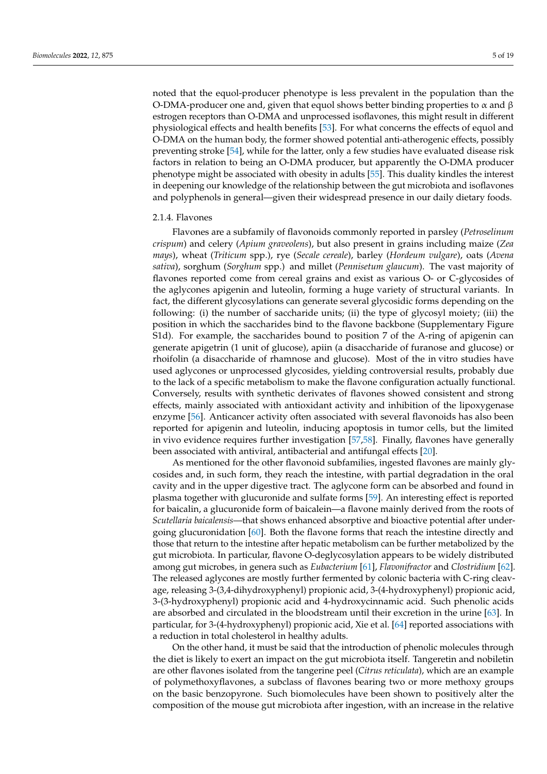noted that the equol-producer phenotype is less prevalent in the population than the O-DMA-producer one and, given that equol shows better binding properties to  $\alpha$  and  $\beta$ estrogen receptors than O-DMA and unprocessed isoflavones, this might result in different physiological effects and health benefits [\[53\]](#page-14-8). For what concerns the effects of equol and O-DMA on the human body, the former showed potential anti-atherogenic effects, possibly preventing stroke [\[54\]](#page-14-9), while for the latter, only a few studies have evaluated disease risk factors in relation to being an O-DMA producer, but apparently the O-DMA producer phenotype might be associated with obesity in adults [\[55\]](#page-14-10). This duality kindles the interest in deepening our knowledge of the relationship between the gut microbiota and isoflavones and polyphenols in general—given their widespread presence in our daily dietary foods.

# 2.1.4. Flavones

Flavones are a subfamily of flavonoids commonly reported in parsley (*Petroselinum crispum*) and celery (*Apium graveolens*), but also present in grains including maize (*Zea mays*), wheat (*Triticum* spp.), rye (*Secale cereale*), barley (*Hordeum vulgare*), oats (*Avena sativa*), sorghum (*Sorghum* spp.) and millet (*Pennisetum glaucum*). The vast majority of flavones reported come from cereal grains and exist as various O- or C-glycosides of the aglycones apigenin and luteolin, forming a huge variety of structural variants. In fact, the different glycosylations can generate several glycosidic forms depending on the following: (i) the number of saccharide units; (ii) the type of glycosyl moiety; (iii) the position in which the saccharides bind to the flavone backbone (Supplementary Figure S1d). For example, the saccharides bound to position 7 of the A-ring of apigenin can generate apigetrin (1 unit of glucose), apiin (a disaccharide of furanose and glucose) or rhoifolin (a disaccharide of rhamnose and glucose). Most of the in vitro studies have used aglycones or unprocessed glycosides, yielding controversial results, probably due to the lack of a specific metabolism to make the flavone configuration actually functional. Conversely, results with synthetic derivates of flavones showed consistent and strong effects, mainly associated with antioxidant activity and inhibition of the lipoxygenase enzyme [\[56\]](#page-14-11). Anticancer activity often associated with several flavonoids has also been reported for apigenin and luteolin, inducing apoptosis in tumor cells, but the limited in vivo evidence requires further investigation [\[57](#page-14-12)[,58\]](#page-14-13). Finally, flavones have generally been associated with antiviral, antibacterial and antifungal effects [\[20\]](#page-13-1).

As mentioned for the other flavonoid subfamilies, ingested flavones are mainly glycosides and, in such form, they reach the intestine, with partial degradation in the oral cavity and in the upper digestive tract. The aglycone form can be absorbed and found in plasma together with glucuronide and sulfate forms [\[59\]](#page-14-14). An interesting effect is reported for baicalin, a glucuronide form of baicalein—a flavone mainly derived from the roots of *Scutellaria baicalensis*—that shows enhanced absorptive and bioactive potential after undergoing glucuronidation [\[60\]](#page-14-15). Both the flavone forms that reach the intestine directly and those that return to the intestine after hepatic metabolism can be further metabolized by the gut microbiota. In particular, flavone O-deglycosylation appears to be widely distributed among gut microbes, in genera such as *Eubacterium* [\[61\]](#page-14-16), *Flavonifractor* and *Clostridium* [\[62\]](#page-14-17). The released aglycones are mostly further fermented by colonic bacteria with C-ring cleavage, releasing 3-(3,4-dihydroxyphenyl) propionic acid, 3-(4-hydroxyphenyl) propionic acid, 3-(3-hydroxyphenyl) propionic acid and 4-hydroxycinnamic acid. Such phenolic acids are absorbed and circulated in the bloodstream until their excretion in the urine [\[63\]](#page-14-18). In particular, for 3-(4-hydroxyphenyl) propionic acid, Xie et al. [\[64\]](#page-14-19) reported associations with a reduction in total cholesterol in healthy adults.

On the other hand, it must be said that the introduction of phenolic molecules through the diet is likely to exert an impact on the gut microbiota itself. Tangeretin and nobiletin are other flavones isolated from the tangerine peel (*Citrus reticulata*), which are an example of polymethoxyflavones, a subclass of flavones bearing two or more methoxy groups on the basic benzopyrone. Such biomolecules have been shown to positively alter the composition of the mouse gut microbiota after ingestion, with an increase in the relative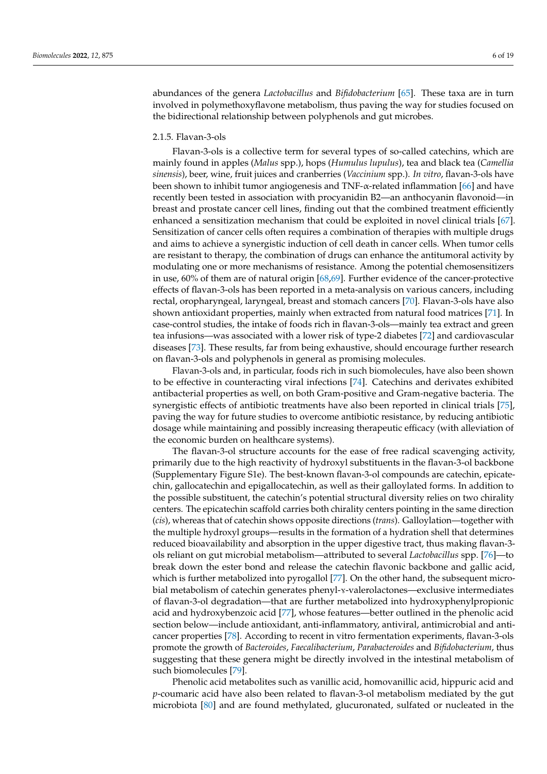abundances of the genera *Lactobacillus* and *Bifidobacterium* [\[65\]](#page-14-20). These taxa are in turn involved in polymethoxyflavone metabolism, thus paving the way for studies focused on the bidirectional relationship between polyphenols and gut microbes.

# 2.1.5. Flavan-3-ols

Flavan-3-ols is a collective term for several types of so-called catechins, which are mainly found in apples (*Malus* spp.), hops (*Humulus lupulus*), tea and black tea (*Camellia sinensis*), beer, wine, fruit juices and cranberries (*Vaccinium* spp.). *In vitro*, flavan-3-ols have been shown to inhibit tumor angiogenesis and TNF-α-related inflammation [\[66\]](#page-14-21) and have recently been tested in association with procyanidin B2—an anthocyanin flavonoid—in breast and prostate cancer cell lines, finding out that the combined treatment efficiently enhanced a sensitization mechanism that could be exploited in novel clinical trials [\[67\]](#page-14-22). Sensitization of cancer cells often requires a combination of therapies with multiple drugs and aims to achieve a synergistic induction of cell death in cancer cells. When tumor cells are resistant to therapy, the combination of drugs can enhance the antitumoral activity by modulating one or more mechanisms of resistance. Among the potential chemosensitizers in use, 60% of them are of natural origin [\[68,](#page-14-23)[69\]](#page-14-24). Further evidence of the cancer-protective effects of flavan-3-ols has been reported in a meta-analysis on various cancers, including rectal, oropharyngeal, laryngeal, breast and stomach cancers [\[70\]](#page-14-25). Flavan-3-ols have also shown antioxidant properties, mainly when extracted from natural food matrices [\[71\]](#page-15-0). In case-control studies, the intake of foods rich in flavan-3-ols—mainly tea extract and green tea infusions—was associated with a lower risk of type-2 diabetes [\[72\]](#page-15-1) and cardiovascular diseases [\[73\]](#page-15-2). These results, far from being exhaustive, should encourage further research on flavan-3-ols and polyphenols in general as promising molecules.

Flavan-3-ols and, in particular, foods rich in such biomolecules, have also been shown to be effective in counteracting viral infections [\[74\]](#page-15-3). Catechins and derivates exhibited antibacterial properties as well, on both Gram-positive and Gram-negative bacteria. The synergistic effects of antibiotic treatments have also been reported in clinical trials [\[75\]](#page-15-4), paving the way for future studies to overcome antibiotic resistance, by reducing antibiotic dosage while maintaining and possibly increasing therapeutic efficacy (with alleviation of the economic burden on healthcare systems).

The flavan-3-ol structure accounts for the ease of free radical scavenging activity, primarily due to the high reactivity of hydroxyl substituents in the flavan-3-ol backbone (Supplementary Figure S1e). The best-known flavan-3-ol compounds are catechin, epicatechin, gallocatechin and epigallocatechin, as well as their galloylated forms. In addition to the possible substituent, the catechin's potential structural diversity relies on two chirality centers. The epicatechin scaffold carries both chirality centers pointing in the same direction (*cis*), whereas that of catechin shows opposite directions (*trans*). Galloylation—together with the multiple hydroxyl groups—results in the formation of a hydration shell that determines reduced bioavailability and absorption in the upper digestive tract, thus making flavan-3 ols reliant on gut microbial metabolism—attributed to several *Lactobacillus* spp. [\[76\]](#page-15-5)—to break down the ester bond and release the catechin flavonic backbone and gallic acid, which is further metabolized into pyrogallol [\[77\]](#page-15-6). On the other hand, the subsequent microbial metabolism of catechin generates phenyl-y-valerolactones—exclusive intermediates of flavan-3-ol degradation—that are further metabolized into hydroxyphenylpropionic acid and hydroxybenzoic acid [\[77\]](#page-15-6), whose features—better outlined in the phenolic acid section below—include antioxidant, anti-inflammatory, antiviral, antimicrobial and anticancer properties [\[78\]](#page-15-7). According to recent in vitro fermentation experiments, flavan-3-ols promote the growth of *Bacteroides*, *Faecalibacterium*, *Parabacteroides* and *Bifidobacterium*, thus suggesting that these genera might be directly involved in the intestinal metabolism of such biomolecules [\[79\]](#page-15-8).

Phenolic acid metabolites such as vanillic acid, homovanillic acid, hippuric acid and *p*-coumaric acid have also been related to flavan-3-ol metabolism mediated by the gut microbiota [\[80\]](#page-15-9) and are found methylated, glucuronated, sulfated or nucleated in the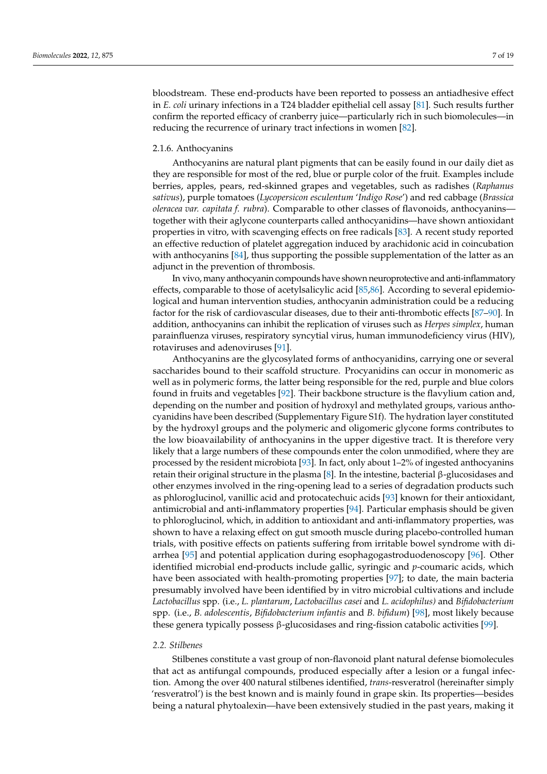bloodstream. These end-products have been reported to possess an antiadhesive effect in *E. coli* urinary infections in a T24 bladder epithelial cell assay [\[81\]](#page-15-10). Such results further confirm the reported efficacy of cranberry juice—particularly rich in such biomolecules—in reducing the recurrence of urinary tract infections in women [\[82\]](#page-15-11).

## 2.1.6. Anthocyanins

Anthocyanins are natural plant pigments that can be easily found in our daily diet as they are responsible for most of the red, blue or purple color of the fruit. Examples include berries, apples, pears, red-skinned grapes and vegetables, such as radishes (*Raphanus sativus*), purple tomatoes (*Lycopersicon esculentum* '*Indigo Rose*') and red cabbage (*Brassica oleracea var. capitata f. rubra*). Comparable to other classes of flavonoids, anthocyanins together with their aglycone counterparts called anthocyanidins—have shown antioxidant properties in vitro, with scavenging effects on free radicals [\[83\]](#page-15-12). A recent study reported an effective reduction of platelet aggregation induced by arachidonic acid in coincubation with anthocyanins [\[84\]](#page-15-13), thus supporting the possible supplementation of the latter as an adjunct in the prevention of thrombosis.

In vivo, many anthocyanin compounds have shown neuroprotective and anti-inflammatory effects, comparable to those of acetylsalicylic acid [\[85](#page-15-14)[,86\]](#page-15-15). According to several epidemiological and human intervention studies, anthocyanin administration could be a reducing factor for the risk of cardiovascular diseases, due to their anti-thrombotic effects [\[87–](#page-15-16)[90\]](#page-15-17). In addition, anthocyanins can inhibit the replication of viruses such as *Herpes simplex*, human parainfluenza viruses, respiratory syncytial virus, human immunodeficiency virus (HIV), rotaviruses and adenoviruses [\[91\]](#page-15-18).

Anthocyanins are the glycosylated forms of anthocyanidins, carrying one or several saccharides bound to their scaffold structure. Procyanidins can occur in monomeric as well as in polymeric forms, the latter being responsible for the red, purple and blue colors found in fruits and vegetables [\[92\]](#page-15-19). Their backbone structure is the flavylium cation and, depending on the number and position of hydroxyl and methylated groups, various anthocyanidins have been described (Supplementary Figure S1f). The hydration layer constituted by the hydroxyl groups and the polymeric and oligomeric glycone forms contributes to the low bioavailability of anthocyanins in the upper digestive tract. It is therefore very likely that a large numbers of these compounds enter the colon unmodified, where they are processed by the resident microbiota [\[93\]](#page-15-20). In fact, only about 1–2% of ingested anthocyanins retain their original structure in the plasma [\[8\]](#page-12-7). In the intestine, bacterial β-glucosidases and other enzymes involved in the ring-opening lead to a series of degradation products such as phloroglucinol, vanillic acid and protocatechuic acids [\[93\]](#page-15-20) known for their antioxidant, antimicrobial and anti-inflammatory properties [\[94\]](#page-15-21). Particular emphasis should be given to phloroglucinol, which, in addition to antioxidant and anti-inflammatory properties, was shown to have a relaxing effect on gut smooth muscle during placebo-controlled human trials, with positive effects on patients suffering from irritable bowel syndrome with diarrhea [\[95\]](#page-16-0) and potential application during esophagogastroduodenoscopy [\[96\]](#page-16-1). Other identified microbial end-products include gallic, syringic and *p*-coumaric acids, which have been associated with health-promoting properties [\[97\]](#page-16-2); to date, the main bacteria presumably involved have been identified by in vitro microbial cultivations and include *Lactobacillus* spp. (i.e., *L. plantarum*, *Lactobacillus casei* and *L. acidophilus)* and *Bifidobacterium* spp. (i.e., *B. adolescentis*, *Bifidobacterium infantis* and *B. bifidum*) [\[98\]](#page-16-3), most likely because these genera typically possess β-glucosidases and ring-fission catabolic activities [\[99\]](#page-16-4).

# *2.2. Stilbenes*

Stilbenes constitute a vast group of non-flavonoid plant natural defense biomolecules that act as antifungal compounds, produced especially after a lesion or a fungal infection. Among the over 400 natural stilbenes identified, *trans*-resveratrol (hereinafter simply 'resveratrol') is the best known and is mainly found in grape skin. Its properties—besides being a natural phytoalexin—have been extensively studied in the past years, making it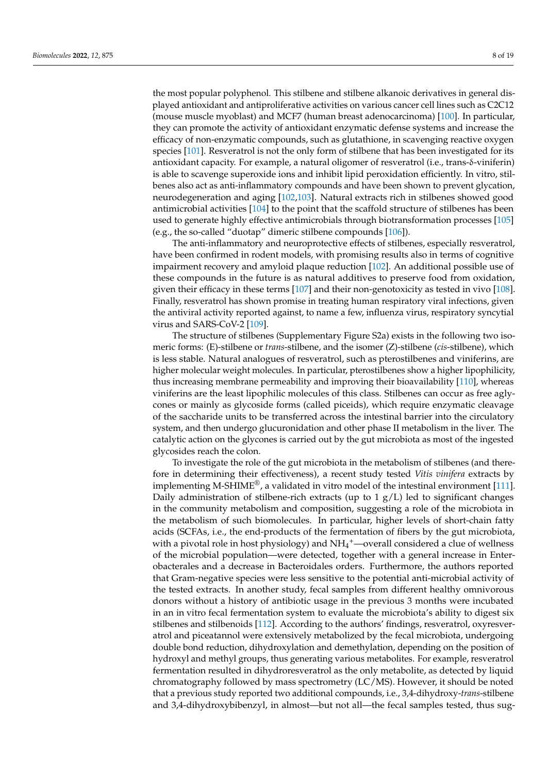the most popular polyphenol. This stilbene and stilbene alkanoic derivatives in general displayed antioxidant and antiproliferative activities on various cancer cell lines such as C2C12 (mouse muscle myoblast) and MCF7 (human breast adenocarcinoma) [\[100\]](#page-16-5). In particular, they can promote the activity of antioxidant enzymatic defense systems and increase the efficacy of non-enzymatic compounds, such as glutathione, in scavenging reactive oxygen species [\[101\]](#page-16-6). Resveratrol is not the only form of stilbene that has been investigated for its antioxidant capacity. For example, a natural oligomer of resveratrol (i.e., trans-δ-viniferin) is able to scavenge superoxide ions and inhibit lipid peroxidation efficiently. In vitro, stilbenes also act as anti-inflammatory compounds and have been shown to prevent glycation, neurodegeneration and aging [\[102](#page-16-7)[,103\]](#page-16-8). Natural extracts rich in stilbenes showed good antimicrobial activities [\[104\]](#page-16-9) to the point that the scaffold structure of stilbenes has been used to generate highly effective antimicrobials through biotransformation processes [\[105\]](#page-16-10) (e.g., the so-called "duotap" dimeric stilbene compounds [\[106\]](#page-16-11)).

The anti-inflammatory and neuroprotective effects of stilbenes, especially resveratrol, have been confirmed in rodent models, with promising results also in terms of cognitive impairment recovery and amyloid plaque reduction [\[102\]](#page-16-7). An additional possible use of these compounds in the future is as natural additives to preserve food from oxidation, given their efficacy in these terms [\[107\]](#page-16-12) and their non-genotoxicity as tested in vivo [\[108\]](#page-16-13). Finally, resveratrol has shown promise in treating human respiratory viral infections, given the antiviral activity reported against, to name a few, influenza virus, respiratory syncytial virus and SARS-CoV-2 [\[109\]](#page-16-14).

The structure of stilbenes (Supplementary Figure S2a) exists in the following two isomeric forms: (E)-stilbene or *trans*-stilbene, and the isomer (Z)-stilbene (*cis*-stilbene), which is less stable. Natural analogues of resveratrol, such as pterostilbenes and viniferins, are higher molecular weight molecules. In particular, pterostilbenes show a higher lipophilicity, thus increasing membrane permeability and improving their bioavailability [\[110\]](#page-16-15), whereas viniferins are the least lipophilic molecules of this class. Stilbenes can occur as free aglycones or mainly as glycoside forms (called piceids), which require enzymatic cleavage of the saccharide units to be transferred across the intestinal barrier into the circulatory system, and then undergo glucuronidation and other phase II metabolism in the liver. The catalytic action on the glycones is carried out by the gut microbiota as most of the ingested glycosides reach the colon.

To investigate the role of the gut microbiota in the metabolism of stilbenes (and therefore in determining their effectiveness), a recent study tested *Vitis vinifera* extracts by implementing M-SHIME<sup>®</sup>, a validated in vitro model of the intestinal environment [\[111\]](#page-16-16). Daily administration of stilbene-rich extracts (up to  $1 g/L$ ) led to significant changes in the community metabolism and composition, suggesting a role of the microbiota in the metabolism of such biomolecules. In particular, higher levels of short-chain fatty acids (SCFAs, i.e., the end-products of the fermentation of fibers by the gut microbiota, with a pivotal role in host physiology) and  $NH_4^+$ —overall considered a clue of wellness of the microbial population—were detected, together with a general increase in Enterobacterales and a decrease in Bacteroidales orders. Furthermore, the authors reported that Gram-negative species were less sensitive to the potential anti-microbial activity of the tested extracts. In another study, fecal samples from different healthy omnivorous donors without a history of antibiotic usage in the previous 3 months were incubated in an in vitro fecal fermentation system to evaluate the microbiota's ability to digest six stilbenes and stilbenoids [\[112\]](#page-16-17). According to the authors' findings, resveratrol, oxyresveratrol and piceatannol were extensively metabolized by the fecal microbiota, undergoing double bond reduction, dihydroxylation and demethylation, depending on the position of hydroxyl and methyl groups, thus generating various metabolites. For example, resveratrol fermentation resulted in dihydroresveratrol as the only metabolite, as detected by liquid chromatography followed by mass spectrometry (LC/MS). However, it should be noted that a previous study reported two additional compounds, i.e., 3,4-dihydroxy-*trans*-stilbene and 3,4-dihydroxybibenzyl, in almost—but not all—the fecal samples tested, thus sug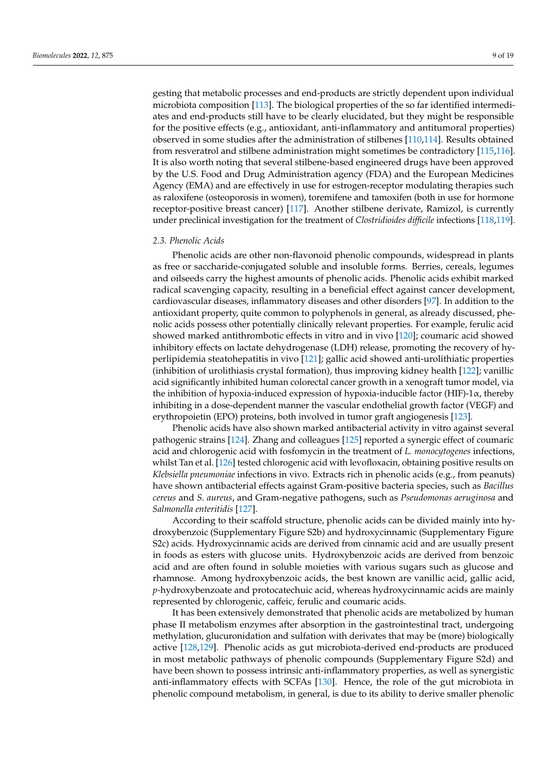gesting that metabolic processes and end-products are strictly dependent upon individual microbiota composition [\[113\]](#page-16-18). The biological properties of the so far identified intermediates and end-products still have to be clearly elucidated, but they might be responsible for the positive effects (e.g., antioxidant, anti-inflammatory and antitumoral properties) observed in some studies after the administration of stilbenes [\[110,](#page-16-15)[114\]](#page-16-19). Results obtained from resveratrol and stilbene administration might sometimes be contradictory [\[115,](#page-16-20)[116\]](#page-16-21). It is also worth noting that several stilbene-based engineered drugs have been approved by the U.S. Food and Drug Administration agency (FDA) and the European Medicines Agency (EMA) and are effectively in use for estrogen-receptor modulating therapies such as raloxifene (osteoporosis in women), toremifene and tamoxifen (both in use for hormone receptor-positive breast cancer) [\[117\]](#page-16-22). Another stilbene derivate, Ramizol, is currently under preclinical investigation for the treatment of *Clostridioides difficile* infections [\[118](#page-16-23)[,119\]](#page-16-24).

## *2.3. Phenolic Acids*

Phenolic acids are other non-flavonoid phenolic compounds, widespread in plants as free or saccharide-conjugated soluble and insoluble forms. Berries, cereals, legumes and oilseeds carry the highest amounts of phenolic acids. Phenolic acids exhibit marked radical scavenging capacity, resulting in a beneficial effect against cancer development, cardiovascular diseases, inflammatory diseases and other disorders [\[97\]](#page-16-2). In addition to the antioxidant property, quite common to polyphenols in general, as already discussed, phenolic acids possess other potentially clinically relevant properties. For example, ferulic acid showed marked antithrombotic effects in vitro and in vivo [\[120\]](#page-17-0); coumaric acid showed inhibitory effects on lactate dehydrogenase (LDH) release, promoting the recovery of hyperlipidemia steatohepatitis in vivo [\[121\]](#page-17-1); gallic acid showed anti-urolithiatic properties (inhibition of urolithiasis crystal formation), thus improving kidney health [\[122\]](#page-17-2); vanillic acid significantly inhibited human colorectal cancer growth in a xenograft tumor model, via the inhibition of hypoxia-induced expression of hypoxia-inducible factor (HIF)-1 $\alpha$ , thereby inhibiting in a dose-dependent manner the vascular endothelial growth factor (VEGF) and erythropoietin (EPO) proteins, both involved in tumor graft angiogenesis [\[123\]](#page-17-3).

Phenolic acids have also shown marked antibacterial activity in vitro against several pathogenic strains [\[124\]](#page-17-4). Zhang and colleagues [\[125\]](#page-17-5) reported a synergic effect of coumaric acid and chlorogenic acid with fosfomycin in the treatment of *L. monocytogenes* infections, whilst Tan et al. [\[126\]](#page-17-6) tested chlorogenic acid with levofloxacin, obtaining positive results on *Klebsiella pneumoniae* infections in vivo. Extracts rich in phenolic acids (e.g., from peanuts) have shown antibacterial effects against Gram-positive bacteria species, such as *Bacillus cereus* and *S. aureus*, and Gram-negative pathogens, such as *Pseudomonas aeruginosa* and *Salmonella enteritidis* [\[127\]](#page-17-7).

According to their scaffold structure, phenolic acids can be divided mainly into hydroxybenzoic (Supplementary Figure S2b) and hydroxycinnamic (Supplementary Figure S2c) acids. Hydroxycinnamic acids are derived from cinnamic acid and are usually present in foods as esters with glucose units. Hydroxybenzoic acids are derived from benzoic acid and are often found in soluble moieties with various sugars such as glucose and rhamnose. Among hydroxybenzoic acids, the best known are vanillic acid, gallic acid, *p*-hydroxybenzoate and protocatechuic acid, whereas hydroxycinnamic acids are mainly represented by chlorogenic, caffeic, ferulic and coumaric acids.

It has been extensively demonstrated that phenolic acids are metabolized by human phase II metabolism enzymes after absorption in the gastrointestinal tract, undergoing methylation, glucuronidation and sulfation with derivates that may be (more) biologically active [\[128,](#page-17-8)[129\]](#page-17-9). Phenolic acids as gut microbiota-derived end-products are produced in most metabolic pathways of phenolic compounds (Supplementary Figure S2d) and have been shown to possess intrinsic anti-inflammatory properties, as well as synergistic anti-inflammatory effects with SCFAs [\[130\]](#page-17-10). Hence, the role of the gut microbiota in phenolic compound metabolism, in general, is due to its ability to derive smaller phenolic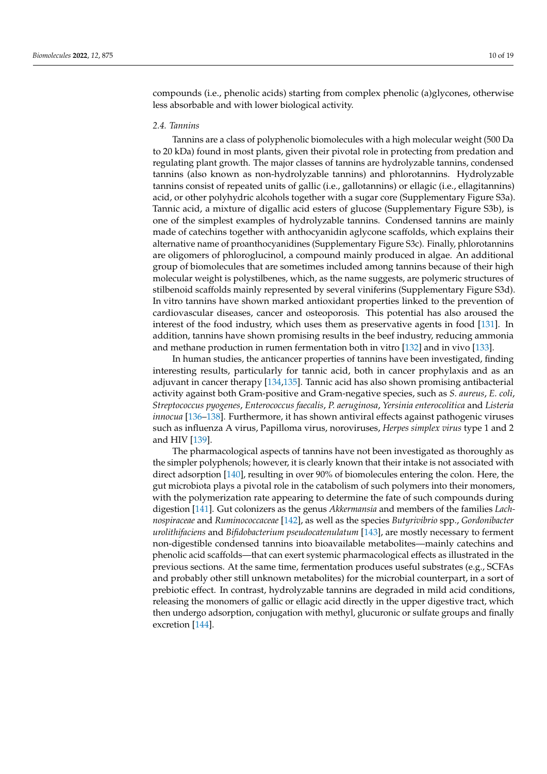compounds (i.e., phenolic acids) starting from complex phenolic (a)glycones, otherwise less absorbable and with lower biological activity.

#### *2.4. Tannins*

Tannins are a class of polyphenolic biomolecules with a high molecular weight (500 Da to 20 kDa) found in most plants, given their pivotal role in protecting from predation and regulating plant growth. The major classes of tannins are hydrolyzable tannins, condensed tannins (also known as non-hydrolyzable tannins) and phlorotannins. Hydrolyzable tannins consist of repeated units of gallic (i.e., gallotannins) or ellagic (i.e., ellagitannins) acid, or other polyhydric alcohols together with a sugar core (Supplementary Figure S3a). Tannic acid, a mixture of digallic acid esters of glucose (Supplementary Figure S3b), is one of the simplest examples of hydrolyzable tannins. Condensed tannins are mainly made of catechins together with anthocyanidin aglycone scaffolds, which explains their alternative name of proanthocyanidines (Supplementary Figure S3c). Finally, phlorotannins are oligomers of phloroglucinol, a compound mainly produced in algae. An additional group of biomolecules that are sometimes included among tannins because of their high molecular weight is polystilbenes, which, as the name suggests, are polymeric structures of stilbenoid scaffolds mainly represented by several viniferins (Supplementary Figure S3d). In vitro tannins have shown marked antioxidant properties linked to the prevention of cardiovascular diseases, cancer and osteoporosis. This potential has also aroused the interest of the food industry, which uses them as preservative agents in food [\[131\]](#page-17-11). In addition, tannins have shown promising results in the beef industry, reducing ammonia and methane production in rumen fermentation both in vitro [\[132\]](#page-17-12) and in vivo [\[133\]](#page-17-13).

In human studies, the anticancer properties of tannins have been investigated, finding interesting results, particularly for tannic acid, both in cancer prophylaxis and as an adjuvant in cancer therapy [\[134,](#page-17-14)[135\]](#page-17-15). Tannic acid has also shown promising antibacterial activity against both Gram-positive and Gram-negative species, such as *S. aureus*, *E. coli*, *Streptococcus pyogenes*, *Enterococcus faecalis*, *P. aeruginosa*, *Yersinia enterocolitica* and *Listeria innocua* [\[136–](#page-17-16)[138\]](#page-17-17). Furthermore, it has shown antiviral effects against pathogenic viruses such as influenza A virus, Papilloma virus, noroviruses, *Herpes simplex virus* type 1 and 2 and HIV [\[139\]](#page-17-18).

The pharmacological aspects of tannins have not been investigated as thoroughly as the simpler polyphenols; however, it is clearly known that their intake is not associated with direct adsorption [\[140\]](#page-17-19), resulting in over 90% of biomolecules entering the colon. Here, the gut microbiota plays a pivotal role in the catabolism of such polymers into their monomers, with the polymerization rate appearing to determine the fate of such compounds during digestion [\[141\]](#page-17-20). Gut colonizers as the genus *Akkermansia* and members of the families *Lachnospiraceae* and *Ruminococcaceae* [\[142\]](#page-17-21), as well as the species *Butyrivibrio* spp., *Gordonibacter urolithifaciens* and *Bifidobacterium pseudocatenulatum* [\[143\]](#page-17-22), are mostly necessary to ferment non-digestible condensed tannins into bioavailable metabolites—mainly catechins and phenolic acid scaffolds—that can exert systemic pharmacological effects as illustrated in the previous sections. At the same time, fermentation produces useful substrates (e.g., SCFAs and probably other still unknown metabolites) for the microbial counterpart, in a sort of prebiotic effect. In contrast, hydrolyzable tannins are degraded in mild acid conditions, releasing the monomers of gallic or ellagic acid directly in the upper digestive tract, which then undergo adsorption, conjugation with methyl, glucuronic or sulfate groups and finally excretion [\[144\]](#page-18-0).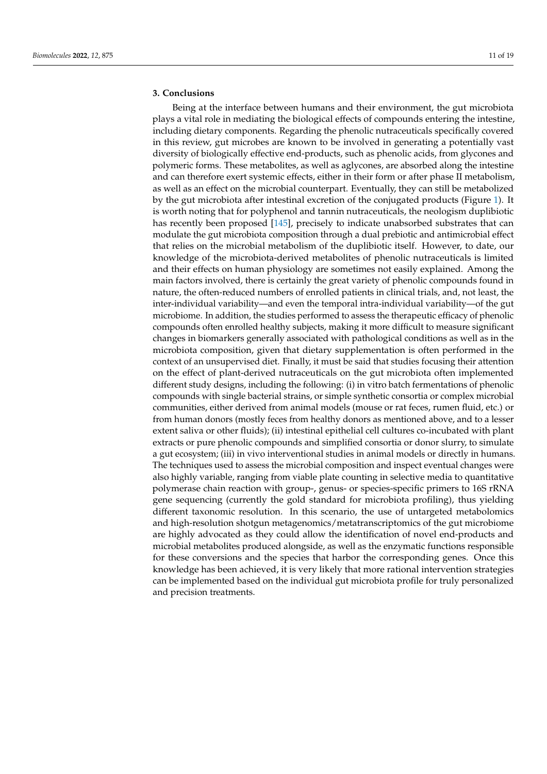# **3. Conclusions**

Being at the interface between humans and their environment, the gut microbiota plays a vital role in mediating the biological effects of compounds entering the intestine, including dietary components. Regarding the phenolic nutraceuticals specifically covered in this review, gut microbes are known to be involved in generating a potentially vast diversity of biologically effective end-products, such as phenolic acids, from glycones and polymeric forms. These metabolites, as well as aglycones, are absorbed along the intestine and can therefore exert systemic effects, either in their form or after phase II metabolism, as well as an effect on the microbial counterpart. Eventually, they can still be metabolized by the gut microbiota after intestinal excretion of the conjugated products (Figure [1\)](#page-11-0). It is worth noting that for polyphenol and tannin nutraceuticals, the neologism duplibiotic has recently been proposed [\[145\]](#page-18-1), precisely to indicate unabsorbed substrates that can modulate the gut microbiota composition through a dual prebiotic and antimicrobial effect that relies on the microbial metabolism of the duplibiotic itself. However, to date, our knowledge of the microbiota-derived metabolites of phenolic nutraceuticals is limited and their effects on human physiology are sometimes not easily explained. Among the main factors involved, there is certainly the great variety of phenolic compounds found in nature, the often-reduced numbers of enrolled patients in clinical trials, and, not least, the inter-individual variability—and even the temporal intra-individual variability—of the gut microbiome. In addition, the studies performed to assess the therapeutic efficacy of phenolic compounds often enrolled healthy subjects, making it more difficult to measure significant changes in biomarkers generally associated with pathological conditions as well as in the microbiota composition, given that dietary supplementation is often performed in the context of an unsupervised diet. Finally, it must be said that studies focusing their attention on the effect of plant-derived nutraceuticals on the gut microbiota often implemented different study designs, including the following: (i) in vitro batch fermentations of phenolic compounds with single bacterial strains, or simple synthetic consortia or complex microbial communities, either derived from animal models (mouse or rat feces, rumen fluid, etc.) or from human donors (mostly feces from healthy donors as mentioned above, and to a lesser extent saliva or other fluids); (ii) intestinal epithelial cell cultures co-incubated with plant extracts or pure phenolic compounds and simplified consortia or donor slurry, to simulate a gut ecosystem; (iii) in vivo interventional studies in animal models or directly in humans. The techniques used to assess the microbial composition and inspect eventual changes were also highly variable, ranging from viable plate counting in selective media to quantitative polymerase chain reaction with group-, genus- or species-specific primers to 16S rRNA gene sequencing (currently the gold standard for microbiota profiling), thus yielding different taxonomic resolution. In this scenario, the use of untargeted metabolomics and high-resolution shotgun metagenomics/metatranscriptomics of the gut microbiome are highly advocated as they could allow the identification of novel end-products and microbial metabolites produced alongside, as well as the enzymatic functions responsible for these conversions and the species that harbor the corresponding genes. Once this knowledge has been achieved, it is very likely that more rational intervention strategies can be implemented based on the individual gut microbiota profile for truly personalized and precision treatments.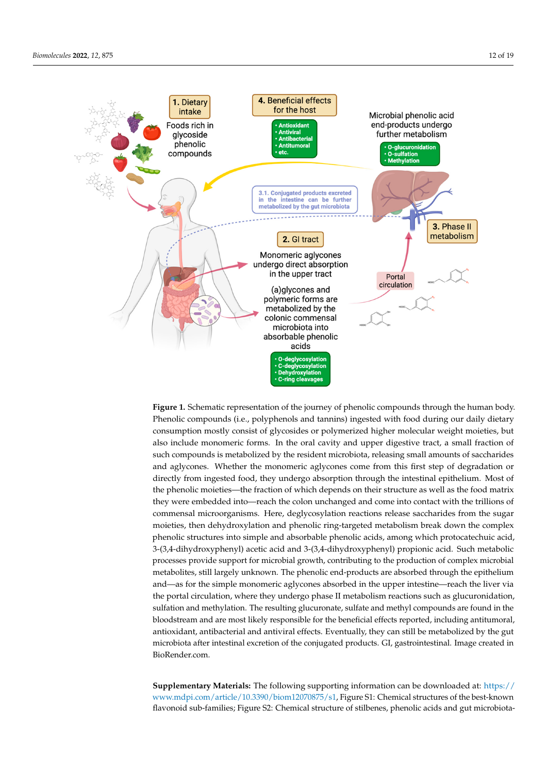<span id="page-11-0"></span>

**Figure 1.** Schematic representation of the journey of phenolic compounds through the human body. **Figure 1.** Schematic representation of the journey of phenolic compounds through the human body. Phenolic compounds (i.e., polyphenols and tannins) ingested with food during our daily dietary consumption mostly consist of glycosides or polymerized higher molecular weight moieties, but also include monomeric forms. In the oral cavity and upper digestive tract, a small fraction of such compounds is metabolized by the resident microbiota, releasing small amounts of saccharides and aglycones. Whether the monomeric aglycones come from this first step of degradation or directly from ingested food, they undergo absorption through the intestinal epithelium. Most of the phenolic moieties—the fraction of which depends on their structure as well as the food matrix microorganisms. Here, degly cost the glycosylation reactions release saccharides from the sugar moieties, then they were embedded into—reach the colon unchanged and come into contact with the trillions of commensal microorganisms. Here, deglycosylation reactions release saccharides from the sugar moieties, then dehydroxylation and phenolic ring-targeted metabolism break down the complex phenolic structures into simple and absorbable phenolic acids, among which protocatechuic acid, 3-(3,4-dihydroxyphenyl) acetic acid and 3-(3,4-dihydroxyphenyl) propionic acid. Such metabolic processes provide support for microbial growth, contributing to the production of complex microbial metabolites, still largely unknown. The phenolic end-products are absorbed through the epithelium and—as for the simple monomeric aglycones absorbed in the upper intestine—reach the liver via the portal circulation, where they undergo phase II metabolism reactions such as glucuronidation, and participant and antibacterial and methylation. The resulting glucuronate, sulfate and methyl compounds are found in the sulfation and methylation. The resulting glucuronate, sulfate and methyl compounds are found in th microbiota and meatyment. The resulting glaciational excretion and meatyr compounds are found in the bloodstream and are most likely responsible for the beneficial effects reported, including antitumoral, **Supplementary Materials:** The following supporting information can be downloaded at: microbiota after intestinal excretion of the conjugated products. GI, gastrointestinal. Image created in BioRender.com. www.material structures of the best-known flavonoid sub-families;  $\frac{1}{\sqrt{2}}$ antioxidant, antibacterial and antiviral effects. Eventually, they can still be metabolized by the gut

 ${\bf Supplementary Materials:}$  The following supporting information can be downloaded at: [https://](https://www.mdpi.com/article/10.3390/biom12070875/s1) **Automoid cub families: Eigure S2: Chamical structure of stilbance, phonelic acids and gut migrabiate** flavonoid sub-families; Figure S2: Chemical structure of stilbenes, phenolic acids and gut microbiota-<br> [www.mdpi.com/article/10.3390/biom12070875/s1,](https://www.mdpi.com/article/10.3390/biom12070875/s1) Figure S1: Chemical structures of the best-known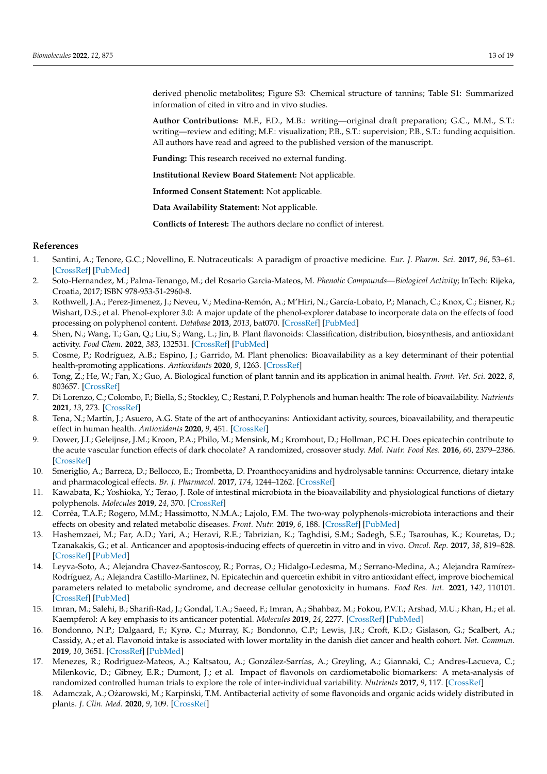derived phenolic metabolites; Figure S3: Chemical structure of tannins; Table S1: Summarized information of cited in vitro and in vivo studies.

**Author Contributions:** M.F., F.D., M.B.: writing—original draft preparation; G.C., M.M., S.T.: writing—review and editing; M.F.: visualization; P.B., S.T.: supervision; P.B., S.T.: funding acquisition. All authors have read and agreed to the published version of the manuscript.

**Funding:** This research received no external funding.

**Institutional Review Board Statement:** Not applicable.

**Informed Consent Statement:** Not applicable.

**Data Availability Statement:** Not applicable.

**Conflicts of Interest:** The authors declare no conflict of interest.

# **References**

- <span id="page-12-0"></span>1. Santini, A.; Tenore, G.C.; Novellino, E. Nutraceuticals: A paradigm of proactive medicine. *Eur. J. Pharm. Sci.* **2017**, *96*, 53–61. [\[CrossRef\]](http://doi.org/10.1016/j.ejps.2016.09.003) [\[PubMed\]](http://www.ncbi.nlm.nih.gov/pubmed/27613382)
- <span id="page-12-1"></span>2. Soto-Hernandez, M.; Palma-Tenango, M.; del Rosario Garcia-Mateos, M. *Phenolic Compounds—Biological Activity*; InTech: Rijeka, Croatia, 2017; ISBN 978-953-51-2960-8.
- <span id="page-12-2"></span>3. Rothwell, J.A.; Perez-Jimenez, J.; Neveu, V.; Medina-Remón, A.; M'Hiri, N.; García-Lobato, P.; Manach, C.; Knox, C.; Eisner, R.; Wishart, D.S.; et al. Phenol-explorer 3.0: A major update of the phenol-explorer database to incorporate data on the effects of food processing on polyphenol content. *Database* **2013**, *2013*, bat070. [\[CrossRef\]](http://doi.org/10.1093/database/bat070) [\[PubMed\]](http://www.ncbi.nlm.nih.gov/pubmed/24103452)
- <span id="page-12-3"></span>4. Shen, N.; Wang, T.; Gan, Q.; Liu, S.; Wang, L.; Jin, B. Plant flavonoids: Classification, distribution, biosynthesis, and antioxidant activity. *Food Chem.* **2022**, *383*, 132531. [\[CrossRef\]](http://doi.org/10.1016/j.foodchem.2022.132531) [\[PubMed\]](http://www.ncbi.nlm.nih.gov/pubmed/35413752)
- <span id="page-12-4"></span>5. Cosme, P.; Rodríguez, A.B.; Espino, J.; Garrido, M. Plant phenolics: Bioavailability as a key determinant of their potential health-promoting applications. *Antioxidants* **2020**, *9*, 1263. [\[CrossRef\]](http://doi.org/10.3390/antiox9121263)
- <span id="page-12-5"></span>6. Tong, Z.; He, W.; Fan, X.; Guo, A. Biological function of plant tannin and its application in animal health. *Front. Vet. Sci.* **2022**, *8*, 803657. [\[CrossRef\]](http://doi.org/10.3389/fvets.2021.803657)
- <span id="page-12-6"></span>7. Di Lorenzo, C.; Colombo, F.; Biella, S.; Stockley, C.; Restani, P. Polyphenols and human health: The role of bioavailability. *Nutrients* **2021**, *13*, 273. [\[CrossRef\]](http://doi.org/10.3390/nu13010273)
- <span id="page-12-7"></span>8. Tena, N.; Martín, J.; Asuero, A.G. State of the art of anthocyanins: Antioxidant activity, sources, bioavailability, and therapeutic effect in human health. *Antioxidants* **2020**, *9*, 451. [\[CrossRef\]](http://doi.org/10.3390/antiox9050451)
- <span id="page-12-8"></span>9. Dower, J.I.; Geleijnse, J.M.; Kroon, P.A.; Philo, M.; Mensink, M.; Kromhout, D.; Hollman, P.C.H. Does epicatechin contribute to the acute vascular function effects of dark chocolate? A randomized, crossover study. *Mol. Nutr. Food Res.* **2016**, *60*, 2379–2386. [\[CrossRef\]](http://doi.org/10.1002/mnfr.201600045)
- <span id="page-12-9"></span>10. Smeriglio, A.; Barreca, D.; Bellocco, E.; Trombetta, D. Proanthocyanidins and hydrolysable tannins: Occurrence, dietary intake and pharmacological effects. *Br. J. Pharmacol.* **2017**, *174*, 1244–1262. [\[CrossRef\]](http://doi.org/10.1111/bph.13630)
- 11. Kawabata, K.; Yoshioka, Y.; Terao, J. Role of intestinal microbiota in the bioavailability and physiological functions of dietary polyphenols. *Molecules* **2019**, *24*, 370. [\[CrossRef\]](http://doi.org/10.3390/molecules24020370)
- <span id="page-12-10"></span>12. Corrêa, T.A.F.; Rogero, M.M.; Hassimotto, N.M.A.; Lajolo, F.M. The two-way polyphenols-microbiota interactions and their effects on obesity and related metabolic diseases. *Front. Nutr.* **2019**, *6*, 188. [\[CrossRef\]](http://doi.org/10.3389/fnut.2019.00188) [\[PubMed\]](http://www.ncbi.nlm.nih.gov/pubmed/31921881)
- <span id="page-12-11"></span>13. Hashemzaei, M.; Far, A.D.; Yari, A.; Heravi, R.E.; Tabrizian, K.; Taghdisi, S.M.; Sadegh, S.E.; Tsarouhas, K.; Kouretas, D.; Tzanakakis, G.; et al. Anticancer and apoptosis-inducing effects of quercetin in vitro and in vivo. *Oncol. Rep.* **2017**, *38*, 819–828. [\[CrossRef\]](http://doi.org/10.3892/or.2017.5766) [\[PubMed\]](http://www.ncbi.nlm.nih.gov/pubmed/28677813)
- <span id="page-12-12"></span>14. Leyva-Soto, A.; Alejandra Chavez-Santoscoy, R.; Porras, O.; Hidalgo-Ledesma, M.; Serrano-Medina, A.; Alejandra Ramírez-Rodríguez, A.; Alejandra Castillo-Martinez, N. Epicatechin and quercetin exhibit in vitro antioxidant effect, improve biochemical parameters related to metabolic syndrome, and decrease cellular genotoxicity in humans. *Food Res. Int.* **2021**, *142*, 110101. [\[CrossRef\]](http://doi.org/10.1016/j.foodres.2020.110101) [\[PubMed\]](http://www.ncbi.nlm.nih.gov/pubmed/33773697)
- <span id="page-12-13"></span>15. Imran, M.; Salehi, B.; Sharifi-Rad, J.; Gondal, T.A.; Saeed, F.; Imran, A.; Shahbaz, M.; Fokou, P.V.T.; Arshad, M.U.; Khan, H.; et al. Kaempferol: A key emphasis to its anticancer potential. *Molecules* **2019**, *24*, 2277. [\[CrossRef\]](http://doi.org/10.3390/molecules24122277) [\[PubMed\]](http://www.ncbi.nlm.nih.gov/pubmed/31248102)
- <span id="page-12-14"></span>16. Bondonno, N.P.; Dalgaard, F.; Kyrø, C.; Murray, K.; Bondonno, C.P.; Lewis, J.R.; Croft, K.D.; Gislason, G.; Scalbert, A.; Cassidy, A.; et al. Flavonoid intake is associated with lower mortality in the danish diet cancer and health cohort. *Nat. Commun.* **2019**, *10*, 3651. [\[CrossRef\]](http://doi.org/10.1038/s41467-019-11622-x) [\[PubMed\]](http://www.ncbi.nlm.nih.gov/pubmed/31409784)
- <span id="page-12-15"></span>17. Menezes, R.; Rodriguez-Mateos, A.; Kaltsatou, A.; González-Sarrías, A.; Greyling, A.; Giannaki, C.; Andres-Lacueva, C.; Milenkovic, D.; Gibney, E.R.; Dumont, J.; et al. Impact of flavonols on cardiometabolic biomarkers: A meta-analysis of randomized controlled human trials to explore the role of inter-individual variability. *Nutrients* **2017**, *9*, 117. [\[CrossRef\]](http://doi.org/10.3390/nu9020117)
- <span id="page-12-16"></span>18. Adamczak, A.; Ożarowski, M.; Karpiński, T.M. Antibacterial activity of some flavonoids and organic acids widely distributed in plants. *J. Clin. Med.* **2020**, *9*, 109. [\[CrossRef\]](http://doi.org/10.3390/jcm9010109)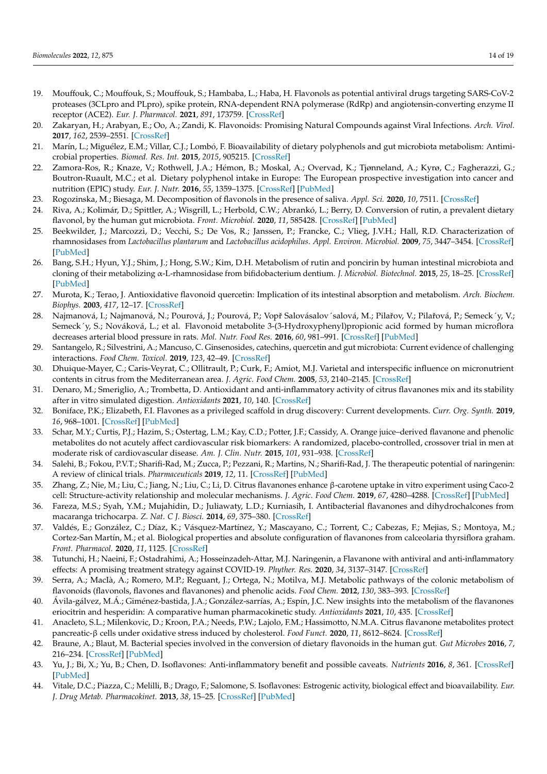- <span id="page-13-0"></span>19. Mouffouk, C.; Mouffouk, S.; Mouffouk, S.; Hambaba, L.; Haba, H. Flavonols as potential antiviral drugs targeting SARS-CoV-2 proteases (3CLpro and PLpro), spike protein, RNA-dependent RNA polymerase (RdRp) and angiotensin-converting enzyme II receptor (ACE2). *Eur. J. Pharmacol.* **2021**, *891*, 173759. [\[CrossRef\]](http://doi.org/10.1016/j.ejphar.2020.173759)
- <span id="page-13-1"></span>20. Zakaryan, H.; Arabyan, E.; Oo, A.; Zandi, K. Flavonoids: Promising Natural Compounds against Viral Infections. *Arch. Virol.* **2017**, *162*, 2539–2551. [\[CrossRef\]](http://doi.org/10.1007/s00705-017-3417-y)
- <span id="page-13-2"></span>21. Marín, L.; Miguélez, E.M.; Villar, C.J.; Lombó, F. Bioavailability of dietary polyphenols and gut microbiota metabolism: Antimicrobial properties. *Biomed. Res. Int.* **2015**, *2015*, 905215. [\[CrossRef\]](http://doi.org/10.1155/2015/905215)
- <span id="page-13-3"></span>22. Zamora-Ros, R.; Knaze, V.; Rothwell, J.A.; Hémon, B.; Moskal, A.; Overvad, K.; Tjønneland, A.; Kyrø, C.; Fagherazzi, G.; Boutron-Ruault, M.C.; et al. Dietary polyphenol intake in Europe: The European prospective investigation into cancer and nutrition (EPIC) study. *Eur. J. Nutr.* **2016**, *55*, 1359–1375. [\[CrossRef\]](http://doi.org/10.1007/s00394-015-0950-x) [\[PubMed\]](http://www.ncbi.nlm.nih.gov/pubmed/26081647)
- <span id="page-13-4"></span>23. Rogozinska, M.; Biesaga, M. Decomposition of flavonols in the presence of saliva. *Appl. Sci.* **2020**, *10*, 7511. [\[CrossRef\]](http://doi.org/10.3390/app10217511)
- <span id="page-13-5"></span>24. Riva, A.; Kolimár, D.; Spittler, A.; Wisgrill, L.; Herbold, C.W.; Abrankó, L.; Berry, D. Conversion of rutin, a prevalent dietary flavonol, by the human gut microbiota. *Front. Microbiol.* **2020**, *11*, 585428. [\[CrossRef\]](http://doi.org/10.3389/fmicb.2020.585428) [\[PubMed\]](http://www.ncbi.nlm.nih.gov/pubmed/33408702)
- <span id="page-13-6"></span>25. Beekwilder, J.; Marcozzi, D.; Vecchi, S.; De Vos, R.; Janssen, P.; Francke, C.; Vlieg, J.V.H.; Hall, R.D. Characterization of rhamnosidases from *Lactobacillus plantarum* and *Lactobacillus acidophilus*. *Appl. Environ. Microbiol.* **2009**, *75*, 3447–3454. [\[CrossRef\]](http://doi.org/10.1128/AEM.02675-08) [\[PubMed\]](http://www.ncbi.nlm.nih.gov/pubmed/19346347)
- <span id="page-13-7"></span>26. Bang, S.H.; Hyun, Y.J.; Shim, J.; Hong, S.W.; Kim, D.H. Metabolism of rutin and poncirin by human intestinal microbiota and cloning of their metabolizing α-L-rhamnosidase from bifidobacterium dentium. *J. Microbiol. Biotechnol.* **2015**, *25*, 18–25. [\[CrossRef\]](http://doi.org/10.4014/jmb.1404.04060) [\[PubMed\]](http://www.ncbi.nlm.nih.gov/pubmed/25179902)
- <span id="page-13-8"></span>27. Murota, K.; Terao, J. Antioxidative flavonoid quercetin: Implication of its intestinal absorption and metabolism. *Arch. Biochem. Biophys.* **2003**, *417*, 12–17. [\[CrossRef\]](http://doi.org/10.1016/S0003-9861(03)00284-4)
- <span id="page-13-9"></span>28. Najmanová, I.; Najmanová, N.; Pourová, J.; Pourová, P.; Vopř Salovásalov´salová, M.; Pilařov, V.; Pilařová, P.; Semeck´y, V.; Semeck´y, S.; Nováková, L.; et al. Flavonoid metabolite 3-(3-Hydroxyphenyl)propionic acid formed by human microflora decreases arterial blood pressure in rats. *Mol. Nutr. Food Res.* **2016**, *60*, 981–991. [\[CrossRef\]](http://doi.org/10.1002/mnfr.201500761) [\[PubMed\]](http://www.ncbi.nlm.nih.gov/pubmed/26790841)
- <span id="page-13-10"></span>29. Santangelo, R.; Silvestrini, A.; Mancuso, C. Ginsenosides, catechins, quercetin and gut microbiota: Current evidence of challenging interactions. *Food Chem. Toxicol.* **2019**, *123*, 42–49. [\[CrossRef\]](http://doi.org/10.1016/j.fct.2018.10.042)
- <span id="page-13-11"></span>30. Dhuique-Mayer, C.; Caris-Veyrat, C.; Ollitrault, P.; Curk, F.; Amiot, M.J. Varietal and interspecific influence on micronutrient contents in citrus from the Mediterranean area. *J. Agric. Food Chem.* **2005**, *53*, 2140–2145. [\[CrossRef\]](http://doi.org/10.1021/jf0402983)
- <span id="page-13-12"></span>31. Denaro, M.; Smeriglio, A.; Trombetta, D. Antioxidant and anti-inflammatory activity of citrus flavanones mix and its stability after in vitro simulated digestion. *Antioxidants* **2021**, *10*, 140. [\[CrossRef\]](http://doi.org/10.3390/antiox10020140)
- <span id="page-13-13"></span>32. Boniface, P.K.; Elizabeth, F.I. Flavones as a privileged scaffold in drug discovery: Current developments. *Curr. Org. Synth.* **2019**, *16*, 968–1001. [\[CrossRef\]](http://doi.org/10.2174/1570179416666190719125730) [\[PubMed\]](http://www.ncbi.nlm.nih.gov/pubmed/31984880)
- <span id="page-13-14"></span>33. Schar, M.Y.; Curtis, P.J.; Hazim, S.; Ostertag, L.M.; Kay, C.D.; Potter, J.F.; Cassidy, A. Orange juice–derived flavanone and phenolic metabolites do not acutely affect cardiovascular risk biomarkers: A randomized, placebo-controlled, crossover trial in men at moderate risk of cardiovascular disease. *Am. J. Clin. Nutr.* **2015**, *101*, 931–938. [\[CrossRef\]](http://doi.org/10.3945/ajcn.114.104364)
- <span id="page-13-15"></span>34. Salehi, B.; Fokou, P.V.T.; Sharifi-Rad, M.; Zucca, P.; Pezzani, R.; Martins, N.; Sharifi-Rad, J. The therapeutic potential of naringenin: A review of clinical trials. *Pharmaceuticals* **2019**, *12*, 11. [\[CrossRef\]](http://doi.org/10.3390/ph12010011) [\[PubMed\]](http://www.ncbi.nlm.nih.gov/pubmed/30634637)
- <span id="page-13-16"></span>35. Zhang, Z.; Nie, M.; Liu, C.; Jiang, N.; Liu, C.; Li, D. Citrus flavanones enhance β-carotene uptake in vitro experiment using Caco-2 cell: Structure-activity relationship and molecular mechanisms. *J. Agric. Food Chem.* **2019**, *67*, 4280–4288. [\[CrossRef\]](http://doi.org/10.1021/acs.jafc.9b01376) [\[PubMed\]](http://www.ncbi.nlm.nih.gov/pubmed/30907592)
- <span id="page-13-17"></span>36. Fareza, M.S.; Syah, Y.M.; Mujahidin, D.; Juliawaty, L.D.; Kurniasih, I. Antibacterial flavanones and dihydrochalcones from macaranga trichocarpa. *Z. Nat. C J. Biosci.* **2014**, *69*, 375–380. [\[CrossRef\]](http://doi.org/10.5560/znc.2014-0066)
- <span id="page-13-18"></span>37. Valdés, E.; González, C.; Díaz, K.; Vásquez-Martínez, Y.; Mascayano, C.; Torrent, C.; Cabezas, F.; Mejias, S.; Montoya, M.; Cortez-San Martín, M.; et al. Biological properties and absolute configuration of flavanones from calceolaria thyrsiflora graham. *Front. Pharmacol.* **2020**, *11*, 1125. [\[CrossRef\]](http://doi.org/10.3389/fphar.2020.01125)
- <span id="page-13-19"></span>38. Tutunchi, H.; Naeini, F.; Ostadrahimi, A.; Hosseinzadeh-Attar, M.J. Naringenin, a Flavanone with antiviral and anti-inflammatory effects: A promising treatment strategy against COVID-19. *Phyther. Res.* **2020**, *34*, 3137–3147. [\[CrossRef\]](http://doi.org/10.1002/ptr.6781)
- <span id="page-13-20"></span>39. Serra, A.; MacIà, A.; Romero, M.P.; Reguant, J.; Ortega, N.; Motilva, M.J. Metabolic pathways of the colonic metabolism of flavonoids (flavonols, flavones and flavanones) and phenolic acids. *Food Chem.* **2012**, *130*, 383–393. [\[CrossRef\]](http://doi.org/10.1016/j.foodchem.2011.07.055)
- <span id="page-13-21"></span>40. Ávila-gálvez, M.Á.; Giménez-bastida, J.A.; González-sarrías, A.; Espín, J.C. New insights into the metabolism of the flavanones eriocitrin and hesperidin: A comparative human pharmacokinetic study. *Antioxidants* **2021**, *10*, 435. [\[CrossRef\]](http://doi.org/10.3390/antiox10030435)
- <span id="page-13-22"></span>41. Anacleto, S.L.; Milenkovic, D.; Kroon, P.A.; Needs, P.W.; Lajolo, F.M.; Hassimotto, N.M.A. Citrus flavanone metabolites protect pancreatic-β cells under oxidative stress induced by cholesterol. *Food Funct.* **2020**, *11*, 8612–8624. [\[CrossRef\]](http://doi.org/10.1039/D0FO01839B)
- <span id="page-13-23"></span>42. Braune, A.; Blaut, M. Bacterial species involved in the conversion of dietary flavonoids in the human gut. *Gut Microbes* **2016**, *7*, 216–234. [\[CrossRef\]](http://doi.org/10.1080/19490976.2016.1158395) [\[PubMed\]](http://www.ncbi.nlm.nih.gov/pubmed/26963713)
- <span id="page-13-24"></span>43. Yu, J.; Bi, X.; Yu, B.; Chen, D. Isoflavones: Anti-inflammatory benefit and possible caveats. *Nutrients* **2016**, *8*, 361. [\[CrossRef\]](http://doi.org/10.3390/nu8060361) [\[PubMed\]](http://www.ncbi.nlm.nih.gov/pubmed/27294954)
- <span id="page-13-25"></span>44. Vitale, D.C.; Piazza, C.; Melilli, B.; Drago, F.; Salomone, S. Isoflavones: Estrogenic activity, biological effect and bioavailability. *Eur. J. Drug Metab. Pharmacokinet.* **2013**, *38*, 15–25. [\[CrossRef\]](http://doi.org/10.1007/s13318-012-0112-y) [\[PubMed\]](http://www.ncbi.nlm.nih.gov/pubmed/23161396)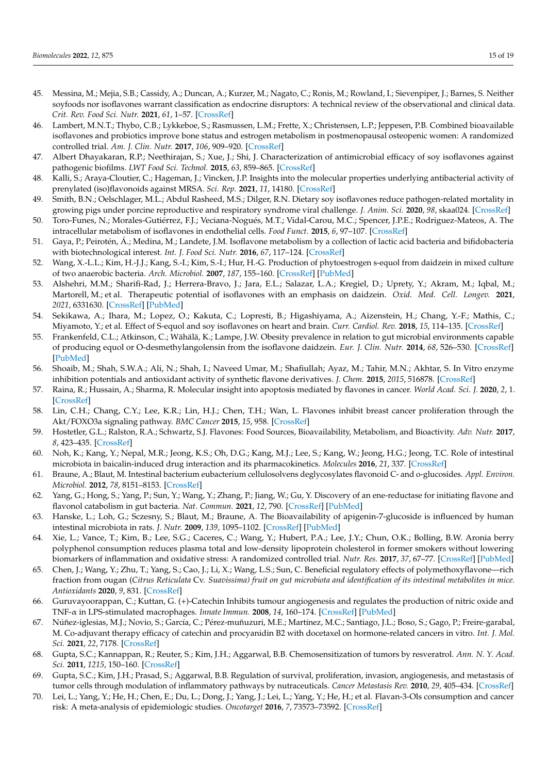- <span id="page-14-0"></span>45. Messina, M.; Mejia, S.B.; Cassidy, A.; Duncan, A.; Kurzer, M.; Nagato, C.; Ronis, M.; Rowland, I.; Sievenpiper, J.; Barnes, S. Neither soyfoods nor isoflavones warrant classification as endocrine disruptors: A technical review of the observational and clinical data. *Crit. Rev. Food Sci. Nutr.* **2021**, *61*, 1–57. [\[CrossRef\]](http://doi.org/10.1080/10408398.2021.1895054)
- <span id="page-14-1"></span>46. Lambert, M.N.T.; Thybo, C.B.; Lykkeboe, S.; Rasmussen, L.M.; Frette, X.; Christensen, L.P.; Jeppesen, P.B. Combined bioavailable isoflavones and probiotics improve bone status and estrogen metabolism in postmenopausal osteopenic women: A randomized controlled trial. *Am. J. Clin. Nutr.* **2017**, *106*, 909–920. [\[CrossRef\]](http://doi.org/10.3945/ajcn.117.153353)
- <span id="page-14-2"></span>47. Albert Dhayakaran, R.P.; Neethirajan, S.; Xue, J.; Shi, J. Characterization of antimicrobial efficacy of soy isoflavones against pathogenic biofilms. *LWT Food Sci. Technol.* **2015**, *63*, 859–865. [\[CrossRef\]](http://doi.org/10.1016/j.lwt.2015.04.053)
- <span id="page-14-3"></span>48. Kalli, S.; Araya-Cloutier, C.; Hageman, J.; Vincken, J.P. Insights into the molecular properties underlying antibacterial activity of prenylated (iso)flavonoids against MRSA. *Sci. Rep.* **2021**, *11*, 14180. [\[CrossRef\]](http://doi.org/10.1038/s41598-021-92964-9)
- <span id="page-14-4"></span>49. Smith, B.N.; Oelschlager, M.L.; Abdul Rasheed, M.S.; Dilger, R.N. Dietary soy isoflavones reduce pathogen-related mortality in growing pigs under porcine reproductive and respiratory syndrome viral challenge. *J. Anim. Sci.* **2020**, *98*, skaa024. [\[CrossRef\]](http://doi.org/10.1093/jas/skaa024)
- <span id="page-14-5"></span>50. Toro-Funes, N.; Morales-Gutiérrez, F.J.; Veciana-Nogués, M.T.; Vidal-Carou, M.C.; Spencer, J.P.E.; Rodriguez-Mateos, A. The intracellular metabolism of isoflavones in endothelial cells. *Food Funct.* **2015**, *6*, 97–107. [\[CrossRef\]](http://doi.org/10.1039/C4FO00772G)
- <span id="page-14-6"></span>51. Gaya, P.; Peirotén, Á.; Medina, M.; Landete, J.M. Isoflavone metabolism by a collection of lactic acid bacteria and bifidobacteria with biotechnological interest. *Int. J. Food Sci. Nutr.* **2016**, *67*, 117–124. [\[CrossRef\]](http://doi.org/10.3109/09637486.2016.1144724)
- <span id="page-14-7"></span>52. Wang, X.-L.L.; Kim, H.-J.J.; Kang, S.-I.; Kim, S.-I.; Hur, H.-G. Production of phytoestrogen s-equol from daidzein in mixed culture of two anaerobic bacteria. *Arch. Microbiol.* **2007**, *187*, 155–160. [\[CrossRef\]](http://doi.org/10.1007/s00203-006-0183-8) [\[PubMed\]](http://www.ncbi.nlm.nih.gov/pubmed/17109177)
- <span id="page-14-8"></span>53. Alshehri, M.M.; Sharifi-Rad, J.; Herrera-Bravo, J.; Jara, E.L.; Salazar, L.A.; Kregiel, D.; Uprety, Y.; Akram, M.; Iqbal, M.; Martorell, M.; et al. Therapeutic potential of isoflavones with an emphasis on daidzein. *Oxid. Med. Cell. Longev.* **2021**, *2021*, 6331630. [\[CrossRef\]](http://doi.org/10.1155/2021/6331630) [\[PubMed\]](http://www.ncbi.nlm.nih.gov/pubmed/34539970)
- <span id="page-14-9"></span>54. Sekikawa, A.; Ihara, M.; Lopez, O.; Kakuta, C.; Lopresti, B.; Higashiyama, A.; Aizenstein, H.; Chang, Y.-F.; Mathis, C.; Miyamoto, Y.; et al. Effect of S-equol and soy isoflavones on heart and brain. *Curr. Cardiol. Rev.* **2018**, *15*, 114–135. [\[CrossRef\]](http://doi.org/10.2174/1573403X15666181205104717)
- <span id="page-14-10"></span>55. Frankenfeld, C.L.; Atkinson, C.; Wähälä, K.; Lampe, J.W. Obesity prevalence in relation to gut microbial environments capable of producing equol or O-desmethylangolensin from the isoflavone daidzein. *Eur. J. Clin. Nutr.* **2014**, *68*, 526–530. [\[CrossRef\]](http://doi.org/10.1038/ejcn.2014.23) [\[PubMed\]](http://www.ncbi.nlm.nih.gov/pubmed/24569543)
- <span id="page-14-11"></span>56. Shoaib, M.; Shah, S.W.A.; Ali, N.; Shah, I.; Naveed Umar, M.; Shafiullah; Ayaz, M.; Tahir, M.N.; Akhtar, S. In Vitro enzyme inhibition potentials and antioxidant activity of synthetic flavone derivatives. *J. Chem.* **2015**, *2015*, 516878. [\[CrossRef\]](http://doi.org/10.1155/2015/516878)
- <span id="page-14-12"></span>57. Raina, R.; Hussain, A.; Sharma, R. Molecular insight into apoptosis mediated by flavones in cancer. *World Acad. Sci. J.* **2020**, *2*, 1. [\[CrossRef\]](http://doi.org/10.3892/wasj.2020.47)
- <span id="page-14-13"></span>58. Lin, C.H.; Chang, C.Y.; Lee, K.R.; Lin, H.J.; Chen, T.H.; Wan, L. Flavones inhibit breast cancer proliferation through the Akt/FOXO3a signaling pathway. *BMC Cancer* **2015**, *15*, 958. [\[CrossRef\]](http://doi.org/10.1186/s12885-015-1965-7)
- <span id="page-14-14"></span>59. Hostetler, G.L.; Ralston, R.A.; Schwartz, S.J. Flavones: Food Sources, Bioavailability, Metabolism, and Bioactivity. *Adv. Nutr.* **2017**, *8*, 423–435. [\[CrossRef\]](http://doi.org/10.3945/an.116.012948)
- <span id="page-14-15"></span>60. Noh, K.; Kang, Y.; Nepal, M.R.; Jeong, K.S.; Oh, D.G.; Kang, M.J.; Lee, S.; Kang, W.; Jeong, H.G.; Jeong, T.C. Role of intestinal microbiota in baicalin-induced drug interaction and its pharmacokinetics. *Molecules* **2016**, *21*, 337. [\[CrossRef\]](http://doi.org/10.3390/molecules21030337)
- <span id="page-14-16"></span>61. Braune, A.; Blaut, M. Intestinal bacterium eubacterium cellulosolvens deglycosylates flavonoid C- and o-glucosides. *Appl. Environ. Microbiol.* **2012**, *78*, 8151–8153. [\[CrossRef\]](http://doi.org/10.1128/AEM.02115-12)
- <span id="page-14-17"></span>62. Yang, G.; Hong, S.; Yang, P.; Sun, Y.; Wang, Y.; Zhang, P.; Jiang, W.; Gu, Y. Discovery of an ene-reductase for initiating flavone and flavonol catabolism in gut bacteria. *Nat. Commun.* **2021**, *12*, 790. [\[CrossRef\]](http://doi.org/10.1038/s41467-021-20974-2) [\[PubMed\]](http://www.ncbi.nlm.nih.gov/pubmed/33542233)
- <span id="page-14-18"></span>63. Hanske, L.; Loh, G.; Sczesny, S.; Blaut, M.; Braune, A. The Bioavailability of apigenin-7-glucoside is influenced by human intestinal microbiota in rats. *J. Nutr.* **2009**, *139*, 1095–1102. [\[CrossRef\]](http://doi.org/10.3945/jn.108.102814) [\[PubMed\]](http://www.ncbi.nlm.nih.gov/pubmed/19403720)
- <span id="page-14-19"></span>64. Xie, L.; Vance, T.; Kim, B.; Lee, S.G.; Caceres, C.; Wang, Y.; Hubert, P.A.; Lee, J.Y.; Chun, O.K.; Bolling, B.W. Aronia berry polyphenol consumption reduces plasma total and low-density lipoprotein cholesterol in former smokers without lowering biomarkers of inflammation and oxidative stress: A randomized controlled trial. *Nutr. Res.* **2017**, *37*, 67–77. [\[CrossRef\]](http://doi.org/10.1016/j.nutres.2016.12.007) [\[PubMed\]](http://www.ncbi.nlm.nih.gov/pubmed/28215316)
- <span id="page-14-20"></span>65. Chen, J.; Wang, Y.; Zhu, T.; Yang, S.; Cao, J.; Li, X.; Wang, L.S.; Sun, C. Beneficial regulatory effects of polymethoxyflavone—rich fraction from ougan (*Citrus Reticulata* Cv. *Suavissima) fruit on gut microbiota and identification of its intestinal metabolites in mice. Antioxidants* **2020**, *9*, 831. [\[CrossRef\]](http://doi.org/10.3390/ANTIOX9090831)
- <span id="page-14-21"></span>66. Guruvayoorappan, C.; Kuttan, G. (+)-Catechin Inhibits tumour angiogenesis and regulates the production of nitric oxide and TNF-α in LPS-stimulated macrophages. *Innate Immun.* **2008**, *14*, 160–174. [\[CrossRef\]](http://doi.org/10.1177/1753425908093295) [\[PubMed\]](http://www.ncbi.nlm.nih.gov/pubmed/18562575)
- <span id="page-14-22"></span>67. Núñez-iglesias, M.J.; Novio, S.; García, C.; Pérez-muñuzuri, M.E.; Martínez, M.C.; Santiago, J.L.; Boso, S.; Gago, P.; Freire-garabal, M. Co-adjuvant therapy efficacy of catechin and procyanidin B2 with docetaxel on hormone-related cancers in vitro. *Int. J. Mol. Sci.* **2021**, *22*, 7178. [\[CrossRef\]](http://doi.org/10.3390/ijms22137178)
- <span id="page-14-23"></span>68. Gupta, S.C.; Kannappan, R.; Reuter, S.; Kim, J.H.; Aggarwal, B.B. Chemosensitization of tumors by resveratrol. *Ann. N. Y. Acad. Sci.* **2011**, *1215*, 150–160. [\[CrossRef\]](http://doi.org/10.1111/j.1749-6632.2010.05852.x)
- <span id="page-14-24"></span>69. Gupta, S.C.; Kim, J.H.; Prasad, S.; Aggarwal, B.B. Regulation of survival, proliferation, invasion, angiogenesis, and metastasis of tumor cells through modulation of inflammatory pathways by nutraceuticals. *Cancer Metastasis Rev.* **2010**, *29*, 405–434. [\[CrossRef\]](http://doi.org/10.1007/s10555-010-9235-2)
- <span id="page-14-25"></span>70. Lei, L.; Yang, Y.; He, H.; Chen, E.; Du, L.; Dong, J.; Yang, J.; Lei, L.; Yang, Y.; He, H.; et al. Flavan-3-Ols consumption and cancer risk: A meta-analysis of epidemiologic studies. *Oncotarget* **2016**, *7*, 73573–73592. [\[CrossRef\]](http://doi.org/10.18632/oncotarget.12017)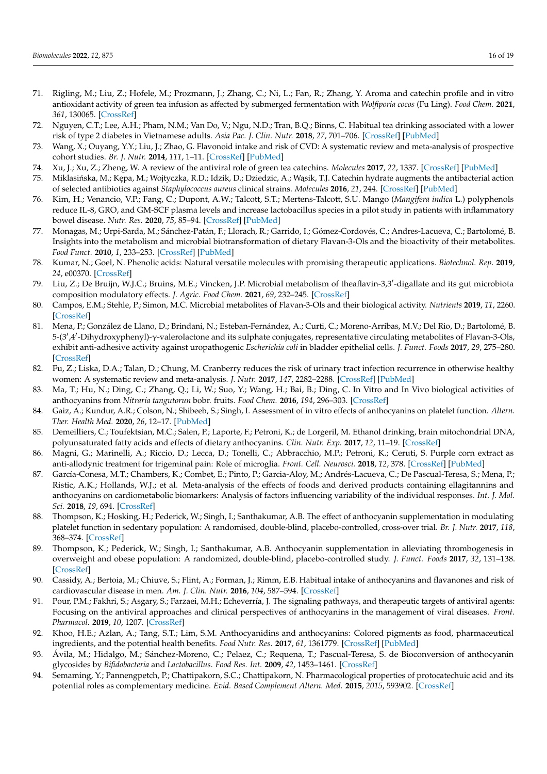- <span id="page-15-0"></span>71. Rigling, M.; Liu, Z.; Hofele, M.; Prozmann, J.; Zhang, C.; Ni, L.; Fan, R.; Zhang, Y. Aroma and catechin profile and in vitro antioxidant activity of green tea infusion as affected by submerged fermentation with *Wolfiporia cocos* (Fu Ling). *Food Chem.* **2021**, *361*, 130065. [\[CrossRef\]](http://doi.org/10.1016/j.foodchem.2021.130065)
- <span id="page-15-1"></span>72. Nguyen, C.T.; Lee, A.H.; Pham, N.M.; Van Do, V.; Ngu, N.D.; Tran, B.Q.; Binns, C. Habitual tea drinking associated with a lower risk of type 2 diabetes in Vietnamese adults. *Asia Pac. J. Clin. Nutr.* **2018**, *27*, 701–706. [\[CrossRef\]](http://doi.org/10.6133/APJCN.072017.08) [\[PubMed\]](http://www.ncbi.nlm.nih.gov/pubmed/29737820)
- <span id="page-15-2"></span>73. Wang, X.; Ouyang, Y.Y.; Liu, J.; Zhao, G. Flavonoid intake and risk of CVD: A systematic review and meta-analysis of prospective cohort studies. *Br. J. Nutr.* **2014**, *111*, 1–11. [\[CrossRef\]](http://doi.org/10.1017/S000711451300278X) [\[PubMed\]](http://www.ncbi.nlm.nih.gov/pubmed/23953879)
- <span id="page-15-3"></span>74. Xu, J.; Xu, Z.; Zheng, W. A review of the antiviral role of green tea catechins. *Molecules* **2017**, *22*, 1337. [\[CrossRef\]](http://doi.org/10.3390/molecules22081337) [\[PubMed\]](http://www.ncbi.nlm.nih.gov/pubmed/28805687)
- <span id="page-15-4"></span>75. Miklasińska, M.; Kępa, M.; Wojtyczka, R.D.; Idzik, D.; Dziedzic, A.; Wąsik, T.J. Catechin hydrate augments the antibacterial action of selected antibiotics against *Staphylococcus aureus* clinical strains. *Molecules* **2016**, *21*, 244. [\[CrossRef\]](http://doi.org/10.3390/molecules21020244) [\[PubMed\]](http://www.ncbi.nlm.nih.gov/pubmed/26907238)
- <span id="page-15-5"></span>76. Kim, H.; Venancio, V.P.; Fang, C.; Dupont, A.W.; Talcott, S.T.; Mertens-Talcott, S.U. Mango (*Mangifera indica* L.) polyphenols reduce IL-8, GRO, and GM-SCF plasma levels and increase lactobacillus species in a pilot study in patients with inflammatory bowel disease. *Nutr. Res.* **2020**, *75*, 85–94. [\[CrossRef\]](http://doi.org/10.1016/j.nutres.2020.01.002) [\[PubMed\]](http://www.ncbi.nlm.nih.gov/pubmed/32109839)
- <span id="page-15-6"></span>77. Monagas, M.; Urpi-Sarda, M.; Sánchez-Patán, F.; Llorach, R.; Garrido, I.; Gómez-Cordovés, C.; Andres-Lacueva, C.; Bartolomé, B. Insights into the metabolism and microbial biotransformation of dietary Flavan-3-Ols and the bioactivity of their metabolites. *Food Funct.* **2010**, *1*, 233–253. [\[CrossRef\]](http://doi.org/10.1039/c0fo00132e) [\[PubMed\]](http://www.ncbi.nlm.nih.gov/pubmed/21776473)
- <span id="page-15-7"></span>78. Kumar, N.; Goel, N. Phenolic acids: Natural versatile molecules with promising therapeutic applications. *Biotechnol. Rep.* **2019**, *24*, e00370. [\[CrossRef\]](http://doi.org/10.1016/j.btre.2019.e00370)
- <span id="page-15-8"></span>79. Liu, Z.; De Bruijn, W.J.C.; Bruins, M.E.; Vincken, J.P. Microbial metabolism of theaflavin-3,3'-digallate and its gut microbiota composition modulatory effects. *J. Agric. Food Chem.* **2021**, *69*, 232–245. [\[CrossRef\]](http://doi.org/10.1021/acs.jafc.0c06622)
- <span id="page-15-9"></span>80. Campos, E.M.; Stehle, P.; Simon, M.C. Microbial metabolites of Flavan-3-Ols and their biological activity. *Nutrients* **2019**, *11*, 2260. [\[CrossRef\]](http://doi.org/10.3390/nu11102260)
- <span id="page-15-10"></span>81. Mena, P.; González de Llano, D.; Brindani, N.; Esteban-Fernández, A.; Curti, C.; Moreno-Arribas, M.V.; Del Rio, D.; Bartolomé, B. 5-(3',4'-Dihydroxyphenyl)-γ-valerolactone and its sulphate conjugates, representative circulating metabolites of Flavan-3-Ols, exhibit anti-adhesive activity against uropathogenic *Escherichia coli* in bladder epithelial cells. *J. Funct. Foods* **2017**, *29*, 275–280. [\[CrossRef\]](http://doi.org/10.1016/j.jff.2016.12.035)
- <span id="page-15-11"></span>82. Fu, Z.; Liska, D.A.; Talan, D.; Chung, M. Cranberry reduces the risk of urinary tract infection recurrence in otherwise healthy women: A systematic review and meta-analysis. *J. Nutr.* **2017**, *147*, 2282–2288. [\[CrossRef\]](http://doi.org/10.3945/jn.117.254961) [\[PubMed\]](http://www.ncbi.nlm.nih.gov/pubmed/29046404)
- <span id="page-15-12"></span>83. Ma, T.; Hu, N.; Ding, C.; Zhang, Q.; Li, W.; Suo, Y.; Wang, H.; Bai, B.; Ding, C. In Vitro and In Vivo biological activities of anthocyanins from *Nitraria tangutorun* bobr. fruits. *Food Chem.* **2016**, *194*, 296–303. [\[CrossRef\]](http://doi.org/10.1016/j.foodchem.2015.07.110)
- <span id="page-15-13"></span>84. Gaiz, A.; Kundur, A.R.; Colson, N.; Shibeeb, S.; Singh, I. Assessment of in vitro effects of anthocyanins on platelet function. *Altern. Ther. Health Med.* **2020**, *26*, 12–17. [\[PubMed\]](http://www.ncbi.nlm.nih.gov/pubmed/31634878)
- <span id="page-15-14"></span>85. Demeilliers, C.; Toufektsian, M.C.; Salen, P.; Laporte, F.; Petroni, K.; de Lorgeril, M. Ethanol drinking, brain mitochondrial DNA, polyunsaturated fatty acids and effects of dietary anthocyanins. *Clin. Nutr. Exp.* **2017**, *12*, 11–19. [\[CrossRef\]](http://doi.org/10.1016/j.yclnex.2017.01.003)
- <span id="page-15-15"></span>86. Magni, G.; Marinelli, A.; Riccio, D.; Lecca, D.; Tonelli, C.; Abbracchio, M.P.; Petroni, K.; Ceruti, S. Purple corn extract as anti-allodynic treatment for trigeminal pain: Role of microglia. *Front. Cell. Neurosci.* **2018**, *12*, 378. [\[CrossRef\]](http://doi.org/10.3389/fncel.2018.00378) [\[PubMed\]](http://www.ncbi.nlm.nih.gov/pubmed/30455630)
- <span id="page-15-16"></span>87. García-Conesa, M.T.; Chambers, K.; Combet, E.; Pinto, P.; Garcia-Aloy, M.; Andrés-Lacueva, C.; De Pascual-Teresa, S.; Mena, P.; Ristic, A.K.; Hollands, W.J.; et al. Meta-analysis of the effects of foods and derived products containing ellagitannins and anthocyanins on cardiometabolic biomarkers: Analysis of factors influencing variability of the individual responses. *Int. J. Mol. Sci.* **2018**, *19*, 694. [\[CrossRef\]](http://doi.org/10.3390/ijms19030694)
- 88. Thompson, K.; Hosking, H.; Pederick, W.; Singh, I.; Santhakumar, A.B. The effect of anthocyanin supplementation in modulating platelet function in sedentary population: A randomised, double-blind, placebo-controlled, cross-over trial. *Br. J. Nutr.* **2017**, *118*, 368–374. [\[CrossRef\]](http://doi.org/10.1017/S0007114517002124)
- 89. Thompson, K.; Pederick, W.; Singh, I.; Santhakumar, A.B. Anthocyanin supplementation in alleviating thrombogenesis in overweight and obese population: A randomized, double-blind, placebo-controlled study. *J. Funct. Foods* **2017**, *32*, 131–138. [\[CrossRef\]](http://doi.org/10.1016/j.jff.2017.02.031)
- <span id="page-15-17"></span>90. Cassidy, A.; Bertoia, M.; Chiuve, S.; Flint, A.; Forman, J.; Rimm, E.B. Habitual intake of anthocyanins and flavanones and risk of cardiovascular disease in men. *Am. J. Clin. Nutr.* **2016**, *104*, 587–594. [\[CrossRef\]](http://doi.org/10.3945/ajcn.116.133132)
- <span id="page-15-18"></span>91. Pour, P.M.; Fakhri, S.; Asgary, S.; Farzaei, M.H.; Echeverría, J. The signaling pathways, and therapeutic targets of antiviral agents: Focusing on the antiviral approaches and clinical perspectives of anthocyanins in the management of viral diseases. *Front. Pharmacol.* **2019**, *10*, 1207. [\[CrossRef\]](http://doi.org/10.3389/fphar.2019.01207)
- <span id="page-15-19"></span>92. Khoo, H.E.; Azlan, A.; Tang, S.T.; Lim, S.M. Anthocyanidins and anthocyanins: Colored pigments as food, pharmaceutical ingredients, and the potential health benefits. *Food Nutr. Res.* **2017**, *61*, 1361779. [\[CrossRef\]](http://doi.org/10.1080/16546628.2017.1361779) [\[PubMed\]](http://www.ncbi.nlm.nih.gov/pubmed/28970777)
- <span id="page-15-20"></span>93. Ávila, M.; Hidalgo, M.; Sánchez-Moreno, C.; Pelaez, C.; Requena, T.; Pascual-Teresa, S. de Bioconversion of anthocyanin glycosides by *Bifidobacteria* and *Lactobacillus*. *Food Res. Int.* **2009**, *42*, 1453–1461. [\[CrossRef\]](http://doi.org/10.1016/j.foodres.2009.07.026)
- <span id="page-15-21"></span>94. Semaming, Y.; Pannengpetch, P.; Chattipakorn, S.C.; Chattipakorn, N. Pharmacological properties of protocatechuic acid and its potential roles as complementary medicine. *Evid. Based Complement Altern. Med.* **2015**, *2015*, 593902. [\[CrossRef\]](http://doi.org/10.1155/2015/593902)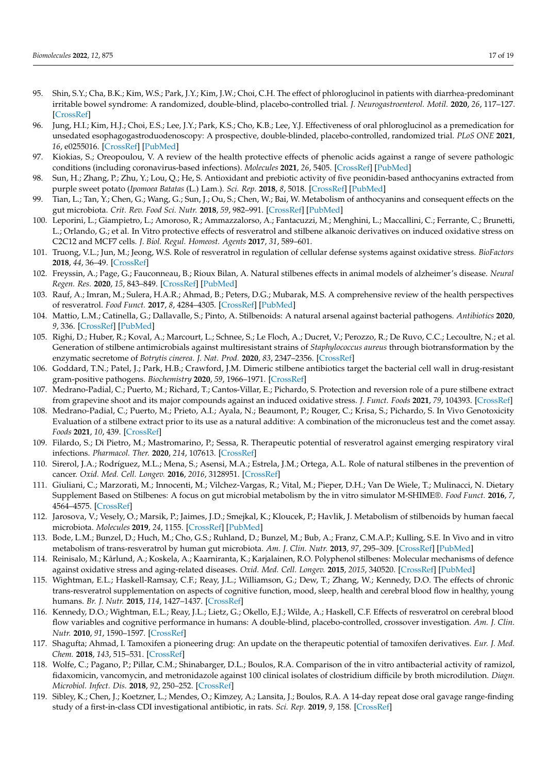- <span id="page-16-0"></span>95. Shin, S.Y.; Cha, B.K.; Kim, W.S.; Park, J.Y.; Kim, J.W.; Choi, C.H. The effect of phloroglucinol in patients with diarrhea-predominant irritable bowel syndrome: A randomized, double-blind, placebo-controlled trial. *J. Neurogastroenterol. Motil.* **2020**, *26*, 117–127. [\[CrossRef\]](http://doi.org/10.5056/jnm19160)
- <span id="page-16-1"></span>96. Jung, H.I.; Kim, H.J.; Choi, E.S.; Lee, J.Y.; Park, K.S.; Cho, K.B.; Lee, Y.J. Effectiveness of oral phloroglucinol as a premedication for unsedated esophagogastroduodenoscopy: A prospective, double-blinded, placebo-controlled, randomized trial. *PLoS ONE* **2021**, *16*, e0255016. [\[CrossRef\]](http://doi.org/10.1371/journal.pone.0255016) [\[PubMed\]](http://www.ncbi.nlm.nih.gov/pubmed/34347808)
- <span id="page-16-2"></span>97. Kiokias, S.; Oreopoulou, V. A review of the health protective effects of phenolic acids against a range of severe pathologic conditions (including coronavirus-based infections). *Molecules* **2021**, *26*, 5405. [\[CrossRef\]](http://doi.org/10.3390/molecules26175405) [\[PubMed\]](http://www.ncbi.nlm.nih.gov/pubmed/34500838)
- <span id="page-16-3"></span>98. Sun, H.; Zhang, P.; Zhu, Y.; Lou, Q.; He, S. Antioxidant and prebiotic activity of five peonidin-based anthocyanins extracted from purple sweet potato (*Ipomoea Batatas* (L.) Lam.). *Sci. Rep.* **2018**, *8*, 5018. [\[CrossRef\]](http://doi.org/10.1038/s41598-018-23397-0) [\[PubMed\]](http://www.ncbi.nlm.nih.gov/pubmed/29568082)
- <span id="page-16-4"></span>99. Tian, L.; Tan, Y.; Chen, G.; Wang, G.; Sun, J.; Ou, S.; Chen, W.; Bai, W. Metabolism of anthocyanins and consequent effects on the gut microbiota. *Crit. Rev. Food Sci. Nutr.* **2018**, *59*, 982–991. [\[CrossRef\]](http://doi.org/10.1080/10408398.2018.1533517) [\[PubMed\]](http://www.ncbi.nlm.nih.gov/pubmed/30595029)
- <span id="page-16-5"></span>100. Leporini, L.; Giampietro, L.; Amoroso, R.; Ammazzalorso, A.; Fantacuzzi, M.; Menghini, L.; Maccallini, C.; Ferrante, C.; Brunetti, L.; Orlando, G.; et al. In Vitro protective effects of resveratrol and stilbene alkanoic derivatives on induced oxidative stress on C2C12 and MCF7 cells. *J. Biol. Regul. Homeost. Agents* **2017**, *31*, 589–601.
- <span id="page-16-6"></span>101. Truong, V.L.; Jun, M.; Jeong, W.S. Role of resveratrol in regulation of cellular defense systems against oxidative stress. *BioFactors* **2018**, *44*, 36–49. [\[CrossRef\]](http://doi.org/10.1002/biof.1399)
- <span id="page-16-7"></span>102. Freyssin, A.; Page, G.; Fauconneau, B.; Rioux Bilan, A. Natural stilbenes effects in animal models of alzheimer's disease. *Neural Regen. Res.* **2020**, *15*, 843–849. [\[CrossRef\]](http://doi.org/10.4103/1673-5374.268970) [\[PubMed\]](http://www.ncbi.nlm.nih.gov/pubmed/31719245)
- <span id="page-16-8"></span>103. Rauf, A.; Imran, M.; Sulera, H.A.R.; Ahmad, B.; Peters, D.G.; Mubarak, M.S. A comprehensive review of the health perspectives of resveratrol. *Food Funct.* **2017**, *8*, 4284–4305. [\[CrossRef\]](http://doi.org/10.1039/C7FO01300K) [\[PubMed\]](http://www.ncbi.nlm.nih.gov/pubmed/29044265)
- <span id="page-16-9"></span>104. Mattio, L.M.; Catinella, G.; Dallavalle, S.; Pinto, A. Stilbenoids: A natural arsenal against bacterial pathogens. *Antibiotics* **2020**, *9*, 336. [\[CrossRef\]](http://doi.org/10.3390/antibiotics9060336) [\[PubMed\]](http://www.ncbi.nlm.nih.gov/pubmed/32570824)
- <span id="page-16-10"></span>105. Righi, D.; Huber, R.; Koval, A.; Marcourt, L.; Schnee, S.; Le Floch, A.; Ducret, V.; Perozzo, R.; De Ruvo, C.C.; Lecoultre, N.; et al. Generation of stilbene antimicrobials against multiresistant strains of *Staphylococcus aureus* through biotransformation by the enzymatic secretome of *Botrytis cinerea*. *J. Nat. Prod.* **2020**, *83*, 2347–2356. [\[CrossRef\]](http://doi.org/10.1021/acs.jnatprod.0c00071)
- <span id="page-16-11"></span>106. Goddard, T.N.; Patel, J.; Park, H.B.; Crawford, J.M. Dimeric stilbene antibiotics target the bacterial cell wall in drug-resistant gram-positive pathogens. *Biochemistry* **2020**, *59*, 1966–1971. [\[CrossRef\]](http://doi.org/10.1021/acs.biochem.0c00213)
- <span id="page-16-12"></span>107. Medrano-Padial, C.; Puerto, M.; Richard, T.; Cantos-Villar, E.; Pichardo, S. Protection and reversion role of a pure stilbene extract from grapevine shoot and its major compounds against an induced oxidative stress. *J. Funct. Foods* **2021**, *79*, 104393. [\[CrossRef\]](http://doi.org/10.1016/j.jff.2021.104393)
- <span id="page-16-13"></span>108. Medrano-Padial, C.; Puerto, M.; Prieto, A.I.; Ayala, N.; Beaumont, P.; Rouger, C.; Krisa, S.; Pichardo, S. In Vivo Genotoxicity Evaluation of a stilbene extract prior to its use as a natural additive: A combination of the micronucleus test and the comet assay. *Foods* **2021**, *10*, 439. [\[CrossRef\]](http://doi.org/10.3390/foods10020439)
- <span id="page-16-14"></span>109. Filardo, S.; Di Pietro, M.; Mastromarino, P.; Sessa, R. Therapeutic potential of resveratrol against emerging respiratory viral infections. *Pharmacol. Ther.* **2020**, *214*, 107613. [\[CrossRef\]](http://doi.org/10.1016/j.pharmthera.2020.107613)
- <span id="page-16-15"></span>110. Sirerol, J.A.; Rodríguez, M.L.; Mena, S.; Asensi, M.A.; Estrela, J.M.; Ortega, A.L. Role of natural stilbenes in the prevention of cancer. *Oxid. Med. Cell. Longev.* **2016**, *2016*, 3128951. [\[CrossRef\]](http://doi.org/10.1155/2016/3128951)
- <span id="page-16-16"></span>111. Giuliani, C.; Marzorati, M.; Innocenti, M.; Vilchez-Vargas, R.; Vital, M.; Pieper, D.H.; Van De Wiele, T.; Mulinacci, N. Dietary Supplement Based on Stilbenes: A focus on gut microbial metabolism by the in vitro simulator M-SHIME®. *Food Funct.* **2016**, *7*, 4564–4575. [\[CrossRef\]](http://doi.org/10.1039/C6FO00784H)
- <span id="page-16-17"></span>112. Jarosova, V.; Vesely, O.; Marsik, P.; Jaimes, J.D.; Smejkal, K.; Kloucek, P.; Havlik, J. Metabolism of stilbenoids by human faecal microbiota. *Molecules* **2019**, *24*, 1155. [\[CrossRef\]](http://doi.org/10.3390/molecules24061155) [\[PubMed\]](http://www.ncbi.nlm.nih.gov/pubmed/30909544)
- <span id="page-16-18"></span>113. Bode, L.M.; Bunzel, D.; Huch, M.; Cho, G.S.; Ruhland, D.; Bunzel, M.; Bub, A.; Franz, C.M.A.P.; Kulling, S.E. In Vivo and in vitro metabolism of trans-resveratrol by human gut microbiota. *Am. J. Clin. Nutr.* **2013**, *97*, 295–309. [\[CrossRef\]](http://doi.org/10.3945/ajcn.112.049379) [\[PubMed\]](http://www.ncbi.nlm.nih.gov/pubmed/23283496)
- <span id="page-16-19"></span>114. Reinisalo, M.; Kårlund, A.; Koskela, A.; Kaarniranta, K.; Karjalainen, R.O. Polyphenol stilbenes: Molecular mechanisms of defence against oxidative stress and aging-related diseases. *Oxid. Med. Cell. Longev.* **2015**, *2015*, 340520. [\[CrossRef\]](http://doi.org/10.1155/2015/340520) [\[PubMed\]](http://www.ncbi.nlm.nih.gov/pubmed/26180583)
- <span id="page-16-20"></span>115. Wightman, E.L.; Haskell-Ramsay, C.F.; Reay, J.L.; Williamson, G.; Dew, T.; Zhang, W.; Kennedy, D.O. The effects of chronic trans-resveratrol supplementation on aspects of cognitive function, mood, sleep, health and cerebral blood flow in healthy, young humans. *Br. J. Nutr.* **2015**, *114*, 1427–1437. [\[CrossRef\]](http://doi.org/10.1017/S0007114515003037)
- <span id="page-16-21"></span>116. Kennedy, D.O.; Wightman, E.L.; Reay, J.L.; Lietz, G.; Okello, E.J.; Wilde, A.; Haskell, C.F. Effects of resveratrol on cerebral blood flow variables and cognitive performance in humans: A double-blind, placebo-controlled, crossover investigation. *Am. J. Clin. Nutr.* **2010**, *91*, 1590–1597. [\[CrossRef\]](http://doi.org/10.3945/ajcn.2009.28641)
- <span id="page-16-22"></span>117. Shagufta; Ahmad, I. Tamoxifen a pioneering drug: An update on the therapeutic potential of tamoxifen derivatives. *Eur. J. Med. Chem.* **2018**, *143*, 515–531. [\[CrossRef\]](http://doi.org/10.1016/j.ejmech.2017.11.056)
- <span id="page-16-23"></span>118. Wolfe, C.; Pagano, P.; Pillar, C.M.; Shinabarger, D.L.; Boulos, R.A. Comparison of the in vitro antibacterial activity of ramizol, fidaxomicin, vancomycin, and metronidazole against 100 clinical isolates of clostridium difficile by broth microdilution. *Diagn. Microbiol. Infect. Dis.* **2018**, *92*, 250–252. [\[CrossRef\]](http://doi.org/10.1016/j.diagmicrobio.2018.06.002)
- <span id="page-16-24"></span>119. Sibley, K.; Chen, J.; Koetzner, L.; Mendes, O.; Kimzey, A.; Lansita, J.; Boulos, R.A. A 14-day repeat dose oral gavage range-finding study of a first-in-class CDI investigational antibiotic, in rats. *Sci. Rep.* **2019**, *9*, 158. [\[CrossRef\]](http://doi.org/10.1038/s41598-018-36690-9)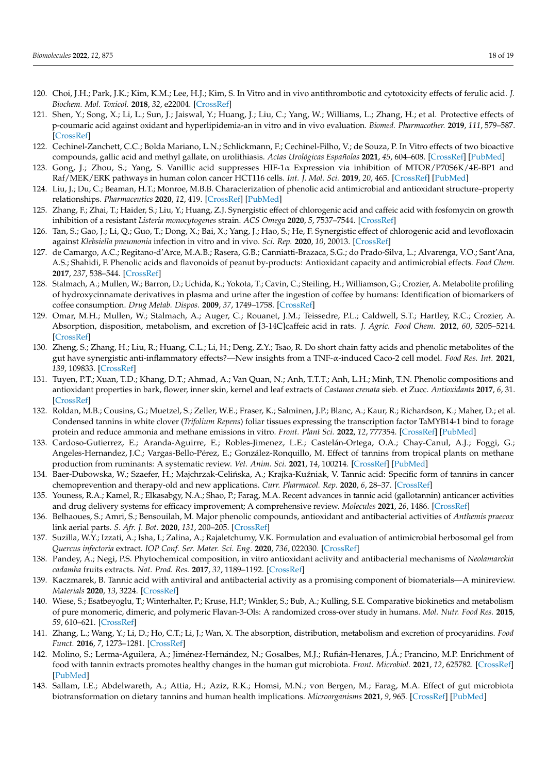- <span id="page-17-0"></span>120. Choi, J.H.; Park, J.K.; Kim, K.M.; Lee, H.J.; Kim, S. In Vitro and in vivo antithrombotic and cytotoxicity effects of ferulic acid. *J. Biochem. Mol. Toxicol.* **2018**, *32*, e22004. [\[CrossRef\]](http://doi.org/10.1002/jbt.22004)
- <span id="page-17-1"></span>121. Shen, Y.; Song, X.; Li, L.; Sun, J.; Jaiswal, Y.; Huang, J.; Liu, C.; Yang, W.; Williams, L.; Zhang, H.; et al. Protective effects of p-coumaric acid against oxidant and hyperlipidemia-an in vitro and in vivo evaluation. *Biomed. Pharmacother.* **2019**, *111*, 579–587. [\[CrossRef\]](http://doi.org/10.1016/j.biopha.2018.12.074)
- <span id="page-17-2"></span>122. Cechinel-Zanchett, C.C.; Bolda Mariano, L.N.; Schlickmann, F.; Cechinel-Filho, V.; de Souza, P. In Vitro effects of two bioactive compounds, gallic acid and methyl gallate, on urolithiasis. *Actas Urológicas Españolas* **2021**, *45*, 604–608. [\[CrossRef\]](http://doi.org/10.1016/j.acuro.2020.09.016) [\[PubMed\]](http://www.ncbi.nlm.nih.gov/pubmed/34690102)
- <span id="page-17-3"></span>123. Gong, J.; Zhou, S.; Yang, S. Vanillic acid suppresses HIF-1α Expression via inhibition of MTOR/P70S6K/4E-BP1 and Raf/MEK/ERK pathways in human colon cancer HCT116 cells. *Int. J. Mol. Sci.* **2019**, *20*, 465. [\[CrossRef\]](http://doi.org/10.3390/ijms20030465) [\[PubMed\]](http://www.ncbi.nlm.nih.gov/pubmed/30678221)
- <span id="page-17-4"></span>124. Liu, J.; Du, C.; Beaman, H.T.; Monroe, M.B.B. Characterization of phenolic acid antimicrobial and antioxidant structure–property relationships. *Pharmaceutics* **2020**, *12*, 419. [\[CrossRef\]](http://doi.org/10.3390/pharmaceutics12050419) [\[PubMed\]](http://www.ncbi.nlm.nih.gov/pubmed/32370227)
- <span id="page-17-5"></span>125. Zhang, F.; Zhai, T.; Haider, S.; Liu, Y.; Huang, Z.J. Synergistic effect of chlorogenic acid and caffeic acid with fosfomycin on growth inhibition of a resistant *Listeria monocytogenes* strain. *ACS Omega* **2020**, *5*, 7537–7544. [\[CrossRef\]](http://doi.org/10.1021/acsomega.0c00352)
- <span id="page-17-6"></span>126. Tan, S.; Gao, J.; Li, Q.; Guo, T.; Dong, X.; Bai, X.; Yang, J.; Hao, S.; He, F. Synergistic effect of chlorogenic acid and levofloxacin against *Klebsiella pneumonia* infection in vitro and in vivo. *Sci. Rep.* **2020**, *10*, 20013. [\[CrossRef\]](http://doi.org/10.1038/s41598-020-76895-5)
- <span id="page-17-7"></span>127. de Camargo, A.C.; Regitano-d'Arce, M.A.B.; Rasera, G.B.; Canniatti-Brazaca, S.G.; do Prado-Silva, L.; Alvarenga, V.O.; Sant'Ana, A.S.; Shahidi, F. Phenolic acids and flavonoids of peanut by-products: Antioxidant capacity and antimicrobial effects. *Food Chem.* **2017**, *237*, 538–544. [\[CrossRef\]](http://doi.org/10.1016/j.foodchem.2017.05.046)
- <span id="page-17-8"></span>128. Stalmach, A.; Mullen, W.; Barron, D.; Uchida, K.; Yokota, T.; Cavin, C.; Steiling, H.; Williamson, G.; Crozier, A. Metabolite profiling of hydroxycinnamate derivatives in plasma and urine after the ingestion of coffee by humans: Identification of biomarkers of coffee consumption. *Drug Metab. Dispos.* **2009**, *37*, 1749–1758. [\[CrossRef\]](http://doi.org/10.1124/dmd.109.028019)
- <span id="page-17-9"></span>129. Omar, M.H.; Mullen, W.; Stalmach, A.; Auger, C.; Rouanet, J.M.; Teissedre, P.L.; Caldwell, S.T.; Hartley, R.C.; Crozier, A. Absorption, disposition, metabolism, and excretion of [3-14C]caffeic acid in rats. *J. Agric. Food Chem.* **2012**, *60*, 5205–5214. [\[CrossRef\]](http://doi.org/10.1021/jf3001185)
- <span id="page-17-10"></span>130. Zheng, S.; Zhang, H.; Liu, R.; Huang, C.L.; Li, H.; Deng, Z.Y.; Tsao, R. Do short chain fatty acids and phenolic metabolites of the gut have synergistic anti-inflammatory effects?—New insights from a TNF-α-induced Caco-2 cell model. *Food Res. Int.* **2021**, *139*, 109833. [\[CrossRef\]](http://doi.org/10.1016/j.foodres.2020.109833)
- <span id="page-17-11"></span>131. Tuyen, P.T.; Xuan, T.D.; Khang, D.T.; Ahmad, A.; Van Quan, N.; Anh, T.T.T.; Anh, L.H.; Minh, T.N. Phenolic compositions and antioxidant properties in bark, flower, inner skin, kernel and leaf extracts of *Castanea crenata* sieb. et Zucc. *Antioxidants* **2017**, *6*, 31. [\[CrossRef\]](http://doi.org/10.3390/antiox6020031)
- <span id="page-17-12"></span>132. Roldan, M.B.; Cousins, G.; Muetzel, S.; Zeller, W.E.; Fraser, K.; Salminen, J.P.; Blanc, A.; Kaur, R.; Richardson, K.; Maher, D.; et al. Condensed tannins in white clover (*Trifolium Repens*) foliar tissues expressing the transcription factor TaMYB14-1 bind to forage protein and reduce ammonia and methane emissions in vitro. *Front. Plant Sci.* **2022**, *12*, 777354. [\[CrossRef\]](http://doi.org/10.3389/fpls.2021.777354) [\[PubMed\]](http://www.ncbi.nlm.nih.gov/pubmed/35069633)
- <span id="page-17-13"></span>133. Cardoso-Gutierrez, E.; Aranda-Aguirre, E.; Robles-Jimenez, L.E.; Castelán-Ortega, O.A.; Chay-Canul, A.J.; Foggi, G.; Angeles-Hernandez, J.C.; Vargas-Bello-Pérez, E.; González-Ronquillo, M. Effect of tannins from tropical plants on methane production from ruminants: A systematic review. *Vet. Anim. Sci.* **2021**, *14*, 100214. [\[CrossRef\]](http://doi.org/10.1016/j.vas.2021.100214) [\[PubMed\]](http://www.ncbi.nlm.nih.gov/pubmed/34841126)
- <span id="page-17-14"></span>134. Baer-Dubowska, W.; Szaefer, H.; Majchrzak-Celińska, A.; Krajka-Kuźniak, V. Tannic acid: Specific form of tannins in cancer chemoprevention and therapy-old and new applications. *Curr. Pharmacol. Rep.* **2020**, *6*, 28–37. [\[CrossRef\]](http://doi.org/10.1007/s40495-020-00211-y)
- <span id="page-17-15"></span>135. Youness, R.A.; Kamel, R.; Elkasabgy, N.A.; Shao, P.; Farag, M.A. Recent advances in tannic acid (gallotannin) anticancer activities and drug delivery systems for efficacy improvement; A comprehensive review. *Molecules* **2021**, *26*, 1486. [\[CrossRef\]](http://doi.org/10.3390/molecules26051486)
- <span id="page-17-16"></span>136. Belhaoues, S.; Amri, S.; Bensouilah, M. Major phenolic compounds, antioxidant and antibacterial activities of *Anthemis praecox* link aerial parts. *S. Afr. J. Bot.* **2020**, *131*, 200–205. [\[CrossRef\]](http://doi.org/10.1016/j.sajb.2020.02.018)
- 137. Suzilla, W.Y.; Izzati, A.; Isha, I.; Zalina, A.; Rajaletchumy, V.K. Formulation and evaluation of antimicrobial herbosomal gel from *Quercus infectoria* extract. *IOP Conf. Ser. Mater. Sci. Eng.* **2020**, *736*, 022030. [\[CrossRef\]](http://doi.org/10.1088/1757-899X/736/2/022030)
- <span id="page-17-17"></span>138. Pandey, A.; Negi, P.S. Phytochemical composition, in vitro antioxidant activity and antibacterial mechanisms of *Neolamarckia cadamba* fruits extracts. *Nat. Prod. Res.* **2017**, *32*, 1189–1192. [\[CrossRef\]](http://doi.org/10.1080/14786419.2017.1323209)
- <span id="page-17-18"></span>139. Kaczmarek, B. Tannic acid with antiviral and antibacterial activity as a promising component of biomaterials—A minireview. *Materials* **2020**, *13*, 3224. [\[CrossRef\]](http://doi.org/10.3390/ma13143224)
- <span id="page-17-19"></span>140. Wiese, S.; Esatbeyoglu, T.; Winterhalter, P.; Kruse, H.P.; Winkler, S.; Bub, A.; Kulling, S.E. Comparative biokinetics and metabolism of pure monomeric, dimeric, and polymeric Flavan-3-Ols: A randomized cross-over study in humans. *Mol. Nutr. Food Res.* **2015**, *59*, 610–621. [\[CrossRef\]](http://doi.org/10.1002/mnfr.201400422)
- <span id="page-17-20"></span>141. Zhang, L.; Wang, Y.; Li, D.; Ho, C.T.; Li, J.; Wan, X. The absorption, distribution, metabolism and excretion of procyanidins. *Food Funct.* **2016**, *7*, 1273–1281. [\[CrossRef\]](http://doi.org/10.1039/C5FO01244A)
- <span id="page-17-21"></span>142. Molino, S.; Lerma-Aguilera, A.; Jiménez-Hernández, N.; Gosalbes, M.J.; Rufián-Henares, J.Á.; Francino, M.P. Enrichment of food with tannin extracts promotes healthy changes in the human gut microbiota. *Front. Microbiol.* **2021**, *12*, 625782. [\[CrossRef\]](http://doi.org/10.3389/fmicb.2021.625782) [\[PubMed\]](http://www.ncbi.nlm.nih.gov/pubmed/33796085)
- <span id="page-17-22"></span>143. Sallam, I.E.; Abdelwareth, A.; Attia, H.; Aziz, R.K.; Homsi, M.N.; von Bergen, M.; Farag, M.A. Effect of gut microbiota biotransformation on dietary tannins and human health implications. *Microorganisms* **2021**, *9*, 965. [\[CrossRef\]](http://doi.org/10.3390/microorganisms9050965) [\[PubMed\]](http://www.ncbi.nlm.nih.gov/pubmed/33947064)